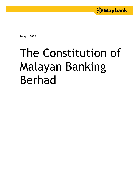

**14 April 2022**

# The Constitution of Malayan Banking Berhad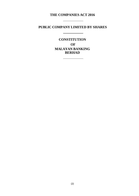# **THE COMPANIES ACT 2016**

# **PUBLIC COMPANY LIMITED BY SHARES**

<u> Alexandria (Carlo Carlo Carlo Carlo Carlo Carlo Carlo Carlo Carlo Carlo Carlo Carlo Carlo Carlo Carlo Carlo Ca</u>

**CONSTITUTION OF MALAYAN BANKING BERHAD**

<u> 1980 - Johann Barn, amerikan bernama per</u>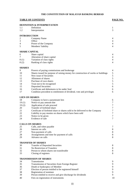|                        | <b>DEFINITION &amp; INTERPRETATION</b>                                            |                |
|------------------------|-----------------------------------------------------------------------------------|----------------|
| 1.1                    | Definition                                                                        | 1              |
| 1.2                    | Interpretation                                                                    | 3              |
| <b>INTRODUCTION</b>    |                                                                                   |                |
| $\overline{c}$         | Company Name                                                                      | 4              |
| 3                      | Office                                                                            | 4              |
| 4                      | Power of the Company                                                              | 4              |
| 5                      | Members' liability                                                                | 4              |
|                        |                                                                                   |                |
| <b>SHARE CAPITAL</b>   |                                                                                   |                |
| 6                      | Share capital                                                                     | 4              |
| 7                      | Alteration of share capital                                                       | 4              |
| 8(1)                   | Variation of class rights                                                         | $\overline{4}$ |
| 8(2)                   | Ranking of class rights                                                           | $\overline{4}$ |
| <b>SHARES</b>          |                                                                                   |                |
| 9                      | Powers of paying commissions and brokerage                                        | 4              |
| 10                     | Shares issued for purpose of raising money for construction of works or buildings | 5              |
| 11                     | New issue of Securities                                                           | 5              |
| 12                     | Allotment of shares                                                               | 5              |
| 13                     | Purchase of own shares                                                            | 5              |
| 14                     | Trust not to be recognised                                                        | 5              |
| 15                     | <b>Deposited Securities</b>                                                       | 6              |
| 16                     | Certificate and debentures to be under Seal                                       | 6              |
| 17                     | Condition precedent to entitlement of dividend, vote and privileges               | 6              |
|                        |                                                                                   |                |
| <b>LIEN ON SHARES</b>  |                                                                                   |                |
| 18                     | Company to have a paramount lien                                                  | 6              |
| 19(1)                  | Notice to pay amount due                                                          | 7              |
| 19(2)                  | Application of sale proceed                                                       | 7              |
| 20                     | Transfer of forfeited share                                                       | 7              |
| 21                     | Certificate of forfeited share or shares sold to be delivered to the Company      | 7              |
| 22                     | Liability to pay monies on shares which have been sold                            | 7              |
| 23                     | Notice to be given                                                                | 7              |
| 24                     | Evidence of sale                                                                  | 7              |
|                        |                                                                                   |                |
| <b>CALLS ON SHARES</b> |                                                                                   |                |
| 25                     | Calls, and when payable                                                           | 7              |
| 26                     | Interest on calls                                                                 | 8              |
| 27                     | Non-payment of calls                                                              | 8              |
| 28                     | Arrangements and time for payment of calls                                        | 8              |
| 29                     | Advance on calls                                                                  | 8              |
|                        | <b>TRANSFER OF SHARES</b>                                                         |                |
| 30                     | <b>Transfer of Deposited Securities</b>                                           | 8              |
| 31                     | No Restriction of Transfers                                                       | 8              |
| 32                     | Person to whom shares not transferable                                            | 8              |
| 33                     | Closing of registers                                                              | 8              |
|                        |                                                                                   |                |
|                        | <b>TRANSMISSION OF SHARES</b>                                                     |                |
| 34                     | Transmission                                                                      | 9              |
| 35                     | Transmission of Securities from Foreign Register                                  | 9              |
| 36                     | Death or bankruptcy of Member                                                     | 9              |
| 37                     | Election of person entitled to be registered himself                              | 9              |
| 38                     | Registration of nominee                                                           | 9              |
| 39                     | Person entitled to receive and give discharge for dividends                       | 9              |
| 40                     | Fees on registration of instruments                                               | 10             |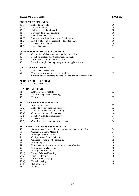|                | <b>FORFEITURE OF SHARES</b>                                         |          |
|----------------|---------------------------------------------------------------------|----------|
| 41(1)          | Notice to pay calls                                                 | 10       |
| 41(2)          | Length of notice                                                    | 10       |
| 42             | Failure to comply with notice                                       | 10       |
| 43             | Forfeiture to include dividend                                      | 10       |
| 44(1)          | Sale of forfeited share                                             | 10       |
| 44(2)          | Payment of residue for the sale of forfeited share                  | 10       |
| 44 (3)         | Liability of Member in respect of forfeited shares                  | 10       |
| 44 (4)         | Evidence of forfeiture                                              | 10       |
| 44 (5)         | Proceeds of sale                                                    | 11       |
|                | <b>CONVERSION OF SHARES INTO STOCK</b>                              |          |
| 45             | Conversion of shares into stock and reconversion                    | 11       |
| 46             | Members of stock may transfer their interests                       | 11       |
| 47             | Participation in dividends and profits                              | 11       |
| 48             | Provisions applicable to paid-up share to apply to stock            | 11       |
|                | <b>INCREASE OF CAPITAL</b>                                          |          |
| 49             | Power to increase capital                                           | 11       |
| 50             | When to be offered to existing Members                              | 11       |
| 51             | Creation of new shares to be considered as part of original capital | 12       |
|                | <b>ALTERATIONS OF CAPITAL</b>                                       |          |
| 52             | Alterations of capital                                              | 12       |
|                | <b>GENERAL MEETINGS</b>                                             |          |
| 53             | <b>Annual General Meeting</b>                                       | 13       |
| 54             | <b>Extraordinary General Meeting</b>                                | 13       |
| 55             | Time and place                                                      | 13       |
|                | <b>NOTICE OF GENERAL MEETINGS</b>                                   |          |
| 56(1)          | Notice of Meeting                                                   | 13       |
| 56(2)          | Notice to specify time and business                                 | 13       |
| 56(3)          | Notice of Annual General Meeting                                    | 14       |
| 56(4)          | Contents of notices of meetings                                     | 14       |
| 56(5)          | Member's right to appoint proxy                                     | 14       |
| 57(1)          | To whom given                                                       | 14       |
| 57(2)          | Omission not to invalidate proceedings                              | 14       |
|                | PROCEEDINGS AT GENERAL MEETINGS                                     |          |
| 58             | Extraordinary General Meeting and Annual General Meeting            | 14       |
| 59             | Quorum at General Meeting                                           | 14       |
| 60             | When quorum not present                                             | 15       |
| 61             | <b>Chairperson of General Meetings</b>                              | 15       |
| 62             | General Meeting may be adjourned                                    | 15       |
| 63             | Voting by poll                                                      | 16       |
| 64             | Error in counting votes not to vitiate result of voting             | 16       |
| 65             | Casting vote of chairperson                                         | 16       |
| 66             | <b>Management Review</b>                                            | 16       |
| 67(1)<br>67(2) | Forms of General Meeting<br><b>Physical Meeting</b>                 | 16       |
| 67(3)          | <b>Fully Virtual Meeting</b>                                        | 16<br>17 |
| 67(4)          | Virtual Meeting                                                     | 18       |
| 67(5)          | <b>Hybrid Meeting</b>                                               | 19       |
| 68             | Minutes                                                             | 21       |
|                |                                                                     |          |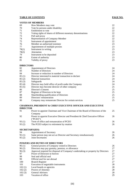| 69    | How Members may vote                                        | 22 |
|-------|-------------------------------------------------------------|----|
| 70    | Vote by persons under disability                            | 22 |
| 71    | Entitlement to vote                                         | 22 |
| 72    | Voting rights of shares of different monetary denominations | 22 |
| 73    | Poll and proxy                                              | 22 |
| 74    | Representation of Company-Member                            | 22 |
| 75    | Instrument of appointment                                   | 22 |
| 76    | Member an authorised nominee.                               | 23 |
| 77    | Appointment of multiple proxies                             | 23 |
| 78(1) | Instrument in writing                                       | 23 |
| 78(2) | Attestation                                                 | 23 |
| 79    | Instrument to be deposited.                                 | 23 |
| 80    | Extent of authority                                         | 23 |
| 81    | Validity of proxy                                           | 23 |

#### **DIRECTORS**

| Appointment of Directors                               | 24 |
|--------------------------------------------------------|----|
| Number of Directors                                    | 24 |
| Increase or reduction in number of Directors           | 24 |
| Director interested in material transaction to declare | 24 |
| Material transaction                                   | 24 |
| Safeguards                                             | 24 |
| Director may hold office of profit under the Company   | 24 |
| Director may become director of other company          | 25 |
| Director's Consent                                     | 25 |
| Register of Directors to be kept                       | 25 |
| Shareholding qualification of Directors                | 25 |
| Directors' remuneration                                | 25 |
| Company may remunerate Director for certain services   | 25 |
|                                                        |    |

#### **CHAIRMAN, PRESIDENT & CHIEF EXECUTIVE OFFICER AND EXECUTIVE DIRECTOR**

| 93(2) | The PCEO subject to retirement by rotation                                                         | 26 |
|-------|----------------------------------------------------------------------------------------------------|----|
| 93(1) | Term of office and remuneration of PCEO                                                            | 26 |
| 92    | Company<br>Power to appoint Executive Director and President & Chief Executive Officer<br>("PCEO") | 26 |
| 91    | Power to appoint Chairman and Vice-Chairman of the Board of Directors of the                       | 25 |

| <b>DECKETIMATIE</b> |                                                                                  |    |
|---------------------|----------------------------------------------------------------------------------|----|
| 94                  | Appointment of Secretary                                                         | 26 |
| 95(1)               | Same person may not act as Director and Secretary simultaneously                 | 26 |
| 95(2)               | Joint Secretaries                                                                | 26 |
|                     | <b>POWERS AND DUTIES OF DIRECTORS</b>                                            |    |
| 96(1)               | General powers of Company vested in Directors                                    | 26 |
| 96(2)               | Directors may pay gratuity, pension, or allowance                                | 27 |
| 96(3)               | Approval required for disposal of Company's undertaking or property by Directors | 27 |
| 97                  | Power of Directors to borrow                                                     | 27 |
| 98                  | Seal and official seal                                                           | 27 |
| 99                  | Official seal for use abroad                                                     | 27 |
| 100                 | <b>Branch Register</b>                                                           | 27 |
| 101                 | Execution of negotiable instruments                                              | 28 |
| 102(1)              | Local boards or agencies                                                         | 28 |
| 102(2)              | Powers of Attorney                                                               | 28 |
| 102(3)              | <b>General Advisers</b>                                                          | 28 |
| 103                 | Vacation of office                                                               | 29 |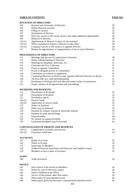|                 | <b>ROTATION OF DIRECTORS</b>                                               |    |
|-----------------|----------------------------------------------------------------------------|----|
| 104             | Rotation and retirement of Directors                                       | 29 |
| 105             | Which Directors to retire                                                  | 29 |
| 106             | Filling of vacancy                                                         | 29 |
| 107             | Nomination of Director                                                     | 29 |
| 108             | Directors' power to fill casual vacancy and make additional appointment    | 30 |
| 109             | Removal of Director                                                        | 30 |
| 110(1)          | Appointment of Director in place of one removed                            | 30 |
| 110(2)          | When resolution to remove a Director to take effect                        | 30 |
| 110(3)          | Company's power to fill vacancy or appoint Director                        | 30 |
| 111             | Motion for appointment or reappointment of two or more Directors           | 30 |
|                 | <b>PROCEEDINGS OF DIRECTORS</b>                                            |    |
| 112             | Meetings and quorum for transaction of business                            | 30 |
| 113             | Notice calling meeting of Directors                                        | 31 |
| 114             | Meetings by telephone, electronic, etc                                     | 31 |
| 115             | Chairman and Vice-Chairman                                                 | 31 |
| 116             | Power to appoint Committees                                                | 31 |
| 117             | Power to delegate powers to Committees                                     | 31 |
|                 |                                                                            | 31 |
| 118             | Committees to conform to regulations                                       |    |
| 119             | Continuing Directors or Director may appoint sufficient Directors to Board | 31 |
| 120             | All bona-fide acts valid notwithstanding                                   | 31 |
| 121             | Resolution in Writing valid and effectual under certain circumstances      | 32 |
| 122             | Proper minutes of all appointment and proceedings                          | 32 |
|                 | <b>DIVIDENDS AND RESERVES</b>                                              |    |
| 123             | Distribution of dividends                                                  | 32 |
| 124             | Declaration of dividend                                                    | 32 |
| 125             | Dividend in specie                                                         | 32 |
| 126(1)          | Reserve funds                                                              | 33 |
| 126(2)          | Application of reserve funds                                               | 33 |
| 127             | Notice of dividend                                                         | 33 |
| 128             | Debts may be deducted                                                      | 33 |
| 129             | Payment by cheque, warrant or electronic transfer                          | 33 |
| 130             | Payment by post and discharge                                              | 33 |
| 131             | Proportionality                                                            | 34 |
| 132             | No interest on unpaid dividend                                             | 34 |
| 133             | Unclaimed dividends may be invested                                        | 34 |
|                 | <b>CAPITALISATION OF PROFITS AND RESERVES</b>                              |    |
|                 |                                                                            | 34 |
| 134(1)          | Capitalisation of profits and reserves<br>Fractional certificates          | 34 |
| 134(2)          |                                                                            |    |
| <b>ACCOUNTS</b> |                                                                            |    |
| 135             | Books of account                                                           | 35 |
| 136             | Where to be kept                                                           | 35 |
| 137             | <b>Inspection by Members</b>                                               | 35 |
| 138             | Audited Financial Statements and Directors' and Auditor's report           | 35 |
| 139             | Members to have copies of accounts                                         | 35 |
| <b>AUDIT</b>    |                                                                            |    |
| 140             | Audit provisions                                                           | 36 |
| <b>NOTICE</b>   |                                                                            |    |
| 141             | How notices to be served on Members                                        | 36 |
| 142             | Notice by way of electronic means                                          | 36 |
| 143             | Notice exhibited at the Office                                             | 36 |
| 144             | Service of documents other than notice                                     | 36 |
| 145             | When notice by post deemed served                                          | 36 |
| 146             | When notice given by electronic communication deemed served                | 36 |
|                 |                                                                            |    |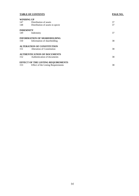| <b>WINDING UP</b> |                                           |    |
|-------------------|-------------------------------------------|----|
| 147               | Distribution of assets                    | 37 |
| 148               | Distribution of assets in specie.         | 37 |
| <b>INDEMNITY</b>  |                                           |    |
| 149               | Indemnity                                 | 37 |
|                   | <b>INFORMATION OF SHAREHOLDING</b>        |    |
| 150               | Information of shareholding               | 38 |
|                   | <b>ALTERATION OF CONSTITUTION</b>         |    |
| 151               | Alteration of Constitution                | 38 |
|                   | <b>AUTHENTICATION OF DOCUMENTS</b>        |    |
| 152               | Authentication of documents               | 38 |
|                   | <b>EFFECT OF THE LISTING REQUIREMENTS</b> |    |
| 153               | <b>Effect of the Listing Requirements</b> | 38 |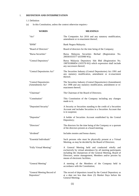#### 1. **DEFINITION AND INTERPRETATION**

1.1 Definition

(a) In this Constitution, unless the context otherwise requires:-

| <b>WORDS</b>                              | <b>MEANINGS</b>                                                                                                                                                                                                                                                              |
|-------------------------------------------|------------------------------------------------------------------------------------------------------------------------------------------------------------------------------------------------------------------------------------------------------------------------------|
| "Act"                                     | The Companies Act 2016 and any statutory modification,<br>amendment or re-enactment thereof;                                                                                                                                                                                 |
| "BNM"                                     | Bank Negara Malaysia;                                                                                                                                                                                                                                                        |
| "Board of Directors"                      | Board of directors for the time being of the Company;                                                                                                                                                                                                                        |
| "Bursa Securities"                        | Bursa Malaysia Securities Berhad (Registration<br>No.<br>200301033577 (635998-W));                                                                                                                                                                                           |
| "Central Depository"                      | Bursa Malaysia Depository Sdn Bhd (Registration No.<br>198701006854 (165570-W)) which expression shall include<br>any successors thereof;                                                                                                                                    |
| "Central Depositories Act"                | The Securities Industry (Central Depositories) Act 1991 and<br>any statutory modification, amendment or re-enactment<br>thereof;                                                                                                                                             |
| "Central Depositories<br>(Amendment) Act" | The Securities Industry (Central Depositories) (Amendment)<br>Act 1998 and any statutory modification, amendment or re-<br>enactment thereof;                                                                                                                                |
| "Chairman"                                | The Chairman of the Board of Directors;                                                                                                                                                                                                                                      |
| "Constitution"                            | This Constitution of the Company including any changes<br>made to it;                                                                                                                                                                                                        |
| "Deposited Security"                      | A Security or Securities standing to the credit of a Securities<br>Account and includes Securities in a Securities Account that<br>is in suspense;                                                                                                                           |
| "Depositor"                               | A holder of Securities Account established by the Central<br>Depository;                                                                                                                                                                                                     |
| "Directors"                               | The directors for the time being of the Company or a quorum<br>of the directors present at a board meeting;                                                                                                                                                                  |
| "dividend"                                | Includes monies and bonus shares;                                                                                                                                                                                                                                            |
| "Essential Individuals"                   | Such persons who must be physically present at a Virtual<br>Meeting, as may be decided by the Board of Directors;                                                                                                                                                            |
| "Fully Virtual Meeting"                   | A General Meeting held and conducted wholly and<br>exclusively by virtual attendance by all meeting participants<br>including the chairperson of the General Meeting, Board of<br>Directors, senior management, Members and/or proxies by<br>means of electronic facilities; |
| "General Meeting"                         | A meeting of the Members of the Company held in<br>accordance with the Constitution;                                                                                                                                                                                         |
| "General Meeting Record of<br>Depositors" | The record of depositors issued by the Central Depository as<br>at a date not less than three (3) Market Days before the<br>General Meeting;                                                                                                                                 |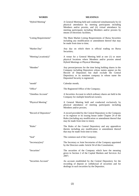| <b>WORDS</b>           | <b>MEANINGS</b>                                                                                                                                                                                                                                                              |
|------------------------|------------------------------------------------------------------------------------------------------------------------------------------------------------------------------------------------------------------------------------------------------------------------------|
| "Hybrid Meeting"       | A General Meeting held and conducted simultaneously by (i)<br>physical attendance by meeting participants including<br>Members and/or proxies, and (ii) virtual attendance by<br>meeting participants including Members and/or proxies by<br>means of electronic facilities; |
| "Listing Requirements" | The Main Market Listing Requirements of Bursa Securities<br>including any modification or amendment thereof that may<br>be made from time to time;                                                                                                                           |
| "Market Day"           | Any day on which there is official trading on Bursa<br>Securities;                                                                                                                                                                                                           |
| "Meeting Location(s)"  | A venue for a General Meeting held at one (1) or more<br>physical locations where Members and/or proxies attend<br>Hybrid Meetings or Physical Meetings;                                                                                                                     |
| "Member"               | Any person/persons for the time being holding shares in the<br>Company including Depositors whose names appear on the<br>Record of Depositors but shall exclude the Central<br>Depository or its nominee company in whose name the<br>Deposited Security is registered;      |
| "month"                | Calendar month;                                                                                                                                                                                                                                                              |
| "Office"               | The Registered Office of the Company;                                                                                                                                                                                                                                        |
| "Omnibus Account"      | A Securities Account in which ordinary shares are held in the<br>Company for multiple beneficial owners;                                                                                                                                                                     |
| "Physical Meeting"     | A General Meeting held and conducted exclusively by<br>physical attendance of meeting participants including<br>Members and/or proxies;                                                                                                                                      |
| "Record of Depositors" | A record provided by the Central Depository to the Company<br>or its registrar or its issuing house under Chapter 24 of the<br>Rules (including any modification or amendment thereof that<br>may be made from time to time);                                                |
| "Rules"                | The Rules of the Central Depository and any appendices<br>thereto including any modification or amendment thereof<br>that may be made from time to time;                                                                                                                     |
| "Seal"                 | The common seal of the Company;                                                                                                                                                                                                                                              |
| "Secretary(ies)"       | The Secretary or Joint Secretaries of the Company appointed<br>by the Directors under Article 94 of this Constitution;                                                                                                                                                       |
| "Securities"           | The securities of the Company which have the meaning<br>given in Section 2 of the Capital Markets and Services Act<br>2007;                                                                                                                                                  |
| "Securities Account"   | An account established by the Central Depository for the<br>recording of deposit or withdrawal of securities and for<br>dealings in such securities by the Depositor;                                                                                                        |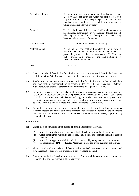| "Special Resolution" | A resolution of which a notice of not less than twenty-one<br>(21) days has been given and which has been passed by a<br>majority of not less than seventy-five per cent $(75%)$ of such<br>members who are entitled to vote and do vote in person, or<br>where proxies are allowed, by proxy; |
|----------------------|------------------------------------------------------------------------------------------------------------------------------------------------------------------------------------------------------------------------------------------------------------------------------------------------|
| "Statutes"           | The Act, the Financial Services Act 2013, and any statutory<br>modification, amendment, or re-enactment thereof and all<br>other legislation for the time being in force concerning<br>banking and affecting the Company;                                                                      |
| "Vice-Chairman"      | The Vice-Chairman of the Board of Directors;                                                                                                                                                                                                                                                   |
| "Virtual Meeting"    | A General Meeting held and conducted online from a<br>broadcast venue, where only Essential Individuals are<br>physically present at the broadcast venue. All Members<br>and/or proxies in a Virtual Meeting shall participate by<br>means of electronic facilities.                           |
| "year"               | Calendar year.                                                                                                                                                                                                                                                                                 |

- (b) Unless otherwise defined in this Constitution, words and expressions defined in the Statutes or the Interpretation Act 1967 shall when used in this Constitution bear the same meanings.
- (c) A reference to a statute or a statutory provision in this Constitution shall be deemed to include any modification, amendment or re-enactment thereof and any subsidiary legislation, regulations, rules, orders or other statutory instruments made pursuant thereto.
- (d) Expressions referring to "writing" shall include, unless the contrary intention appears, printing, lithography, photography and any other representation or reproduction of words, letters, figures or marks in a visible form, whether in hard copy or in electronic form sent by way of an electronic communication or in such other form that allows the document and/or information to be easily accessible and reproduced into written, electronic or visible form.
- (e) Expressions referring to "electronic communications" shall include, unless the contrary intention appears, delivery of documents or information in electronic form by electronic means to the electronic mail address or any other address or number of the addressee, as permitted by the applicable laws.

#### 1.2 Interpretation

- (a) Unless there be something in the subject or context inconsistent therewith:-
	- (i) words denoting the singular number only shall include the plural and vice versa;
	- (ii) words denoting the masculine gender only shall include the feminine and neuter genders and vice versa;
	- (iii) words denoting persons shall include firms, partnership, companies and corporations;
	- (iv) the abbreviation "**RM**" or "**Ringgit Malaysia**" means the lawful currency of Malaysia.
- (b) Where a word or phrase is given a defined meaning in this Constitution, any other grammatical form in respect of such word or phrase has a corresponding meaning.
- (c) Any reference in this Constitution to a numbered Article shall be construed as a reference to the Article bearing that number in this Constitution.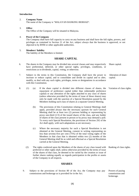#### **Introduction**

#### 2. **Company Name**

The name of the Company is "MALAYAN BANKING BERHAD".

#### 3. **Office**

The Office of the Company will be situated in Malaysia.

#### 4. **Power of the Company**

The Company shall have full capacity to carry on any business and shall have the full rights, powers, and privileges as contained in Section 21 of the Act, subject always that the business is approved, or not objected to by BNM or other applicable authorities.

### 5. **Members' liability**

The liability of the Members is limited.

#### **SHARE CAPITAL**

6. The shares in the Company may be divided into several classes and may respectively have preferential, deferred, or other special rights, privileges, conditions, or restrictions as to dividends, capital, voting, or otherwise. Share capital. 7. Subject to the terms in this Constitution, the Company shall have the power to increase or reduce capital, and to consolidate and divide its capital and to alter, modify, or deal with any such rights, privileges, terms or designations in accordance with this Constitution. Alteration of share capital. 8. (1) (a) If the share capital is divided into different classes of shares, the repayment of preference capital (other than redeemable preference capital) or any alteration of the rights attached to any class of shares (unless otherwise provided by the terms of issue of those shares) may only be made with the sanction of a Special Resolution passed by the Members holding such class of shares at a separate General Meeting. (b) The provisions of this Constitution relating to General Meetings shall apply, provided always that the necessary quorum for such General Meeting shall be at least two (2) persons holding or representing by proxy one-third (1/3) of the issued shares of the class, and any holder of shares of the class present in person or by proxy may demand a poll. To every such Special Resolution, the provisions of Section 292 of the Act shall apply, with such adaptations as are necessary. (c) Where the necessary majority for such a Special Resolution is not obtained at the General Meeting, consent in writing representing no less than seventy-five per cent (75%) of the total voting rights of the Members in that class that is obtained within two (2) months of the General Meeting shall be as valid and effectual as a Special Resolution carried at the General Meeting. Variation of class rights. (2) The rights conferred upon the Members of the shares of any class issued with preferred or other rights shall, unless otherwise provided by the terms of issue of the shares of that class, be deemed to be varied by the creation or issue of further shares ranking equally as regards participation in the profits or assets of the Company in all respects. Ranking of class rights.

#### **SHARES**

9. Subject to the provisions of Section 80 of the Act, the Company may pay commissions and brokerage as is provided for in the Act.

Powers of paying commissions and brokerage.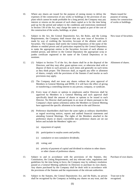- 10. Where any shares are issued for the purpose of raising money to defray the expenses of the construction of any works or buildings or the provision of any plant which cannot be made profitable for a long period, the Company may pay interest or returns on the amount of such share capital as is for the time being paid up for the period and subject to the conditions and restrictions mentioned in Section 130 of the Act, may charge the same to capital as part of the cost of the construction of the works, buildings, or plant.
- 11. Subject to the Act, the Central Depositories Act, the Rules, and the Listing Requirements, the Company shall ensure that any new issue of Securities is made by way of crediting the Securities Account of the allottee with such Securities. The Company shall notify the Central Depository of the name of the allottee or entitled person and all particulars required by the Central Depository to make the appropriate entries in the Securities Account of such allottee or entitled person, and deliver to the Central Depository the appropriate scrip or jumbo certificate registered in the name of the Central Depository or its nominee.
- 12. (1) Subject to Section 75 of the Act, the shares shall be at the disposal of the Directors, and they may allot, grant options over, or otherwise deal with or dispose of them to such persons at such times and generally on such terms as they think proper. The Directors shall, as regards any offer or allotment of shares, comply with the provisions of the Statutes if and insofar as such provisions may apply.
	- (2) The Company shall not issue any shares without the prior approval of Members in General Meeting and BNM, if it will have the effect of giving or transferring a controlling interest to any person, company, or syndicate.
	- (3) Every issue of shares or options to employees and/or Directors shall be approved by Members in a General Meeting and such approval shall specifically detail the amount of shares or options to be issued to each Director. No Director shall participate in an issue of shares pursuant to the Company's share option scheme(s) unless the Members in General Meeting have approved the specific allotment to be made to the said Director.
	- (4) Preference shareholders shall have the same rights as ordinary shareholders as regard receiving notices, reports and audited financial statements and attending General Meetings. The rights of the Members attached to the preference shares or shares convertible into preference shares are set out below and include the Members' rights on:-
		- (a) repayment of capital;
		- (b) participation in surplus assets and profits;
		- (c) cumulative or non-cumulative dividends;
		- (d) voting; and
		- (e) priority of payment of capital and dividend in relation to other shares or other classes of preference shares.
- 13. Subject to and in accordance with the provisions of the Statutes, this Constitution, the Listing Requirements, and any relevant rules, regulations and guidelines for the time being in force, the Company may by ordinary resolution passed at a General Meeting authorise its Directors to purchase its own shares. Any shares purchased by the Company shall be dealt with in accordance with the provisions of the Statutes and the requirements of the relevant authorities.
- 14. Subject to the Statutes, the Central Depositories Act, and the Rules, no person shall be recognised by the Company as holding any shares on any trust, and the

Shares issued for purpose of raising money for construction of works or buildings.

New issue of Securities.

Allotment of shares.

(5)

Purchase of own shares.

Trust not to be recognised.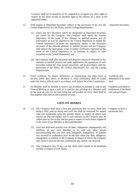Company shall not be bound by or be compelled to recognise any other rights in respect of any share except an absolute right to the entirety of a share in the registered holder.

- 15. With respect to Deposited Securities, subject to the provisions of the Act, the Central Depositories Act, the Rules, and the Listing Requirements:-
	- (1) where any new Securities which are designated as Deposited Securities are issued by the Company, the Company shall notify the Central Depository of the name of the allottees or entitled persons and all information as may be required by the Central Depository to enable the Central Depository to make the appropriate entries in the Securities Accounts of the relevant allottees or entitled persons and the Company shall deliver the appropriate scrips or jumbo certificates registered in the name of the Central Depository or its nominee in respect of such Securities to the Central Depository; and
	- (2) the Company shall allot Securities and despatch notices of allotment to the allottees or entitled persons and make applications for quotations of such Securities within the time period prescribed, and in accordance with the provisions of the Rules, the Central Depositories Act, and the Listing Requirements.
- 16. Every certificate for shares, debentures, or representing any other form of security (other than letters of allotment or scrip certificates) shall be issued under the Seal or official seal in accordance with Article 98 of this Constitution.
- 17. No Member shall be entitled to receive any dividend, be present or vote at any General Meeting or upon a poll, or to exercise any privilege as a Member until he has paid all calls for the time being due and payable on every share held by him together with interest and expenses (if any).

#### **LIEN ON SHARES**

- 18. (1) The Company shall have a first and paramount lien on every share (not being a fully paid up share) and such lien shall be restricted for unpaid calls and instalments upon the specific shares in respect of which such monies are due and unpaid, and to such amounts as the Company may be called upon by law to pay and has paid in respect of such shares registered in the name of any Member or deceased Member.
	- (2) Such lien shall have priority over all debts, obligations, engagements, and liabilities of any such Member to or with any other person notwithstanding that any such debt, obligation, engagement, or liability was incurred or undertaken prior to the date when any debt, obligation, engagement, or liability to the Company in respect of which the Company may claim to exercise the lien conferred by this Article was incurred.
	- (3) The Company's lien, if any, on any share shall extend to all dividends payable in respect of such shares.

Deposited Securities.

Certificate and debentures to be under Seal.

Condition precedent to entitlement of dividend, vote and privileges.

Company to have a paramount lien.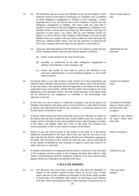- 19. (1) The Directors may serve upon any Member or any person entitled to such shares by reason of the death or bankruptcy of a Member who is indebted or under obligation, engagement or liability to the Company, a notice requiring him to pay the amount due to the Company or satisfy the said obligation, engagement or liability. The notice shall also state that if payment is not made or the said obligation, engagement, or liability is not satisfied within a given time (not being less than fourteen (14) days) as specified in such notice, any shares held by such Member which are subject to a lien in favour of the Company will be liable to be sold. If such Member does not comply with such notice within the time aforesaid, the Directors, without further notice, may for the purposes of enforcing the lien of the Company sell such shares in any manner as they think fit.
	- (2) Upon any sale being made by the Directors of any shares to satisfy the lien of the Company thereon, the proceeds shall be applied as follows:-
		- (a) firstly, in the payment of all costs of such sale;
		- (b) secondly, in satisfaction of the debt, obligation, engagement or liability of the Member to the Company; and
		- (c) finally, the residue (if any) shall be paid to the Member or his executors, administrators, or his permitted assignees; or as he shall otherwise direct.
- 20. For giving effect to any sale of shares under Article 19 of this Constitution, the Directors may authorise some person to transfer the shares sold to the purchaser of the said shares. The purchaser shall be registered as the holder of the shares comprised in any such transfer, and the Directors shall not be bound to see to the application of the purchase money. The title of the purchase of the shares shall not be affected by any irregularity or invalidity in the proceedings with reference to the sale.
- 21. In the event of a sale of shares to satisfy the Company's lien on the shares, the Member who held the said shares prior to such forfeiture or sale shall be bound to deliver and shall forthwith deliver the certificate or certificates held by him for the shares so forfeited or sold.
- 22. A person whose shares have been sold shall cease to be a Member in respect of the shares sold but shall, despite the sale, remain liable to pay the Company all monies which at the date of sale were payable by him to the Company in respect of the shares; his liability shall only cease if and when the Company has received payment in full of such monies in respect of the shares.
- 23. Notice of any sale shall be given to the holder of the share or to the person entitled by transmission to the share sold as the case may be. An entry of the sale, with the date thereof, shall be made in the Record of Depositors opposite to the share. The provisions of this Article are directory only, and no sale shall be in any manner invalidated by any omission or neglect to give such notice or to make such entry as aforesaid.
- 24. A statutory declaration in writing that the declarant is a Director or the Secretary of the Company and that a share in the Company has been duly sold on a date stated in the declaration shall be conclusive evidence of the facts therein stated against all persons claiming to be entitled to the share. Evidence of sale.

#### **CALLS ON SHARES**

25. (1) The Directors may from time to time make calls upon the Members in respect of any monies unpaid on their shares or on any class of their shares and not by the conditions of allotment of the shares made payable at fixed times. Each Member shall (subject to receiving at least fourteen (14) days' notice specifying the date or time and place of payment) pay to

(7)

Notice to pay amount due.

Application of sale proceeds.

Transfer of forfeited share.

Certificate of forfeited share or shares sold to be delivered to the Company.

Liability to pay monies on shares which have been sold.

Notice to be given.

Calls, and when payable.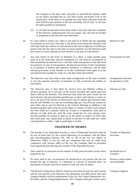the Company at the date, time, and place so specified the amount called on his shares provided that no call shall exceed one-fourth (1/4) of the issued price of the share or be payable less than thirty (30) days from the date fixed for the payment of the last preceding call (if any). A call may be made payable by instalments.

- (2) A call shall be deemed to have been made at the time when the resolution of the Directors authorising the call was passed. Any call may be revoked or postponed as the Directors may determine.
- 26. If a sum called in respect of a share is not paid on or before the day appointed for payment of such sum ("due date"), the person from whom the amount of the call is due shall pay interest on such amount at the rate of eight per cent (8%) per annum from the due date to the time of actual payment, but the Directors shall have power to waive payment of such interest or any part of such interest. Interest on calls.
- 27. Any sum which, by the terms of allotment of a share, is made payable upon issue or at any fixed date; and any instalment of a call shall for all purposes of this Constitution be deemed to be a call duly made and payable on the date fixed for payment. In case of non-payment, all relevant provisions of this Constitution as to payment of interest and expenses, forfeiture, or otherwise; and all other relevant provisions of the Statutes or of this Constitution shall apply as if the sum had become payable by virtue of a call duly made and notified. Non-payment of calls.
- 28. The Directors may from time to time make arrangements on the issue of shares to vary the amounts and times of payments of calls as between the holders of such shares.
- 29. The Directors may, if they think fit, receive from any Member willing to advance payment, all or any part of the monies uncalled and unpaid upon any shares held by the Member. The Directors may (until the same would, but for such advance, become presently payable) pay or allow such interest or return on all or any part of the monies so advanced as may be agreed upon between them and the said Member at a rate not exceeding eight per cent (8%) per annum (or such other rate as may be directed in the General Meeting) in addition to the dividend payable upon such part of the shares in respect of which such advance has been made as is actually called up. Except in a liquidation, sums paid in advance of calls shall not, until the same would but for such advance have become payable, be treated as paid up on the shares in respect of which they have been paid. Any capital paid on shares in advance of calls shall not, whilst carrying interest, confer a right to participate in profits.

#### **TRANSFER OF SHARES**

- 30. The transfer of any Deposited Security or class of Deposited Securities shall be by way of book entry by the Central Depository in accordance with the Rules and notwithstanding Sections 105, 106, or 110 of the Act; but subject to Subsection 148(2) of the Act and any exemption that may be made from compliance with Section 148(1) of the Act, the Company shall be precluded from registering and effecting any transfer of the Deposited Security.
- 31. There shall be no restriction on the transfer of fully paid Securities except where required by law.
- 32. No share shall in any circumstances be transferred to any person who has not attained the age of majority, is a bankrupt or a person of unsound mind. An instrument of transfer must be in respect of only one class of shares.
- 33. The Record of Depositors shall be closed at such times (if any) for such reasons and for such period as the Directors may determine, provided always that such closing complies with the requirements of the Act, the Central Depositories Act, the Rules, and the Listing Requirements. The Company shall give written notice

(8)

Arrangements and time for payment of calls.

Advance on calls.

Transfer of Deposited Securities.

No Restriction of Transfers.

Person to whom shares not transferable.

Closing of registers.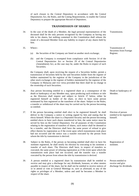of such closure to the Central Depository in accordance with the Central Depositories Act, the Rules, and the Listing Requirements, to enable the Central Depository to prepare the appropriate Record of Depositors.

#### **TRANSMISSION OF SHARES**

- 34. In the case of the death of a Member, the legal personal representatives of the deceased shall be the only persons recognised by the Company as having any title to his shares, but nothing contained in this Constitution shall release the estate of a deceased Member from any liability in respect of any shares held by him.
- 35. Where:-
	- (a) the Securities of the Company are listed on another stock exchange;
	- (b) and the Company is exempted from compliance with Section 14 of the Central Depositories Act or Section 29 of the Central Depositories (Amendment) Act, as the case may be, under the Rules in respect of such Securities;

the Company shall, upon receiving the request of a Securities holder, permit a transmission of Securities held by the said Securities holder from the register of holders maintained by the registrar of the Company in the jurisdiction of the other stock exchange to the register of holders maintained by the registrar of the Company in Malaysia and vice versa provided that there shall be no change in the ownership of such Securities.

- 36. Any person becoming entitled to a registered share as a consequence of the death or bankruptcy of any Member may, upon producing such evidence or title as the Directors shall require and subject to Article 37 below, either be registered himself as holder of the share, or elect to have some person nominated by him registered as the transferee of the share. Subject to the Rules, a transfer or withdrawal of the share may be carried out by the person becoming so entitled.
- 37. If the person becoming entitled shall elect to be registered himself, he shall deliver to the Company a notice in writing signed by him and stating that he elects himself. Where the share is a Deposited Security and the person becoming entitled elects to have such shares transferred to him, the same notice must be served by him on the Central Depository. For all purposes of this Constitution relating to the registration of transfers of shares, such notice shall be deemed to be a transfer, and the Directors shall have the same power of refusal to give effect thereto by registration as if the event upon which transmission took place had not occurred and the notice was a transfer executed by the person from whom the title by transmission is derived.
- 38. Subject to the Rules, if the person so becoming entitled shall elect to have his nominee registered, he shall testify his election by executing to his nominee a transfer of such share. The Directors shall have, in respect of transfers so executed, the same power of refusing registration as if the event upon which the transmission took place had not occurred, and the transfer was a transfer executed by the person from whom the title by transmission is derived.
- 39. A person entitled to a registered share by transmission shall be entitled to receive and may give a discharge for any dividends, bonuses, or other monies payable in respect of the share, but he shall not be entitled to receive notices of or to attend or vote at General Meetings or, save as aforesaid, to any of the rights or privileges of a Member, unless and until he becomes a Member in respect of the share.

Transmission.

Transmission of Securities from Foreign Register.

Death or bankruptcy of Member.

Election of person entitled to be registered himself.

Registration of nominee.

Person entitled to receive and give discharge for dividends.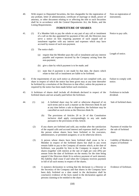| 40. |     | Listing Requirements.                                                                                                                                                                                                                                                                                                                                                                                                                                                                                                                                                                                                              | With respect to Deposited Securities, the fees chargeable for the registration of<br>any probate, letter of administration, certificate of marriage or death, power of<br>attorney, or other document relating to or affecting the title to such Securities<br>shall be in accordance with the Central Depositories Act, the Rules, and the<br><b>FORFEITURE OF SHARES</b> | Fees on registration of<br>instruments. |
|-----|-----|------------------------------------------------------------------------------------------------------------------------------------------------------------------------------------------------------------------------------------------------------------------------------------------------------------------------------------------------------------------------------------------------------------------------------------------------------------------------------------------------------------------------------------------------------------------------------------------------------------------------------------|----------------------------------------------------------------------------------------------------------------------------------------------------------------------------------------------------------------------------------------------------------------------------------------------------------------------------------------------------------------------------|-----------------------------------------|
| 41. | (1) | If a Member fails to pay the whole or any part of any call or instalment<br>of a call on the day appointed for payment of the call, the Directors may<br>serve a notice on him requiring payment of such unpaid call or<br>instalment together with any interest and expenses which may have<br>accrued by reason of such non-payment.                                                                                                                                                                                                                                                                                             | Notice to pay calls.                                                                                                                                                                                                                                                                                                                                                       |                                         |
|     | (2) | The notice shall:-                                                                                                                                                                                                                                                                                                                                                                                                                                                                                                                                                                                                                 |                                                                                                                                                                                                                                                                                                                                                                            |                                         |
|     |     | (a)                                                                                                                                                                                                                                                                                                                                                                                                                                                                                                                                                                                                                                | require that the Member pays the call or instalment and any interest<br>payable and expenses incurred by the Company arising from the<br>non-payment;                                                                                                                                                                                                                      | Length of notice.                       |
|     |     | (b)                                                                                                                                                                                                                                                                                                                                                                                                                                                                                                                                                                                                                                | give a date by which payment is to be made; and                                                                                                                                                                                                                                                                                                                            |                                         |
|     |     | (c)                                                                                                                                                                                                                                                                                                                                                                                                                                                                                                                                                                                                                                | state that if payment is not made by that date, the shares which<br>relate to that call or instalment are liable to be forfeited.                                                                                                                                                                                                                                          |                                         |
| 42. |     |                                                                                                                                                                                                                                                                                                                                                                                                                                                                                                                                                                                                                                    | If the requirements of any such notice as aforesaid are not complied with, any<br>share in respect of which the notice has been given may at any time thereafter<br>be forfeited by a resolution of the Directors to that effect, unless the payment as<br>required by the notice has been made before such resolution.                                                    | Failure to comply with<br>notice.       |
| 43. |     |                                                                                                                                                                                                                                                                                                                                                                                                                                                                                                                                                                                                                                    | A forfeiture of shares shall include all dividends declared in respect of the<br>forfeited shares and not actually paid before the forfeiture.                                                                                                                                                                                                                             | Forfeiture to include<br>dividend.      |
| 44. | (1) | (a)                                                                                                                                                                                                                                                                                                                                                                                                                                                                                                                                                                                                                                | A forfeited share may be sold or otherwise disposed of on<br>such terms and in such a manner as the Directors think fit and<br>at any time before a sale or disposition, the forfeiture may be<br>cancelled on such terms as the Directors think fit.                                                                                                                      | Sale of forfeited share.                |
|     |     | (b)                                                                                                                                                                                                                                                                                                                                                                                                                                                                                                                                                                                                                                | The provisions of Articles 20 to 24 of this Constitution<br>inclusive shall apply correspondingly to any sale made<br>pursuant to the provisions of this Article.                                                                                                                                                                                                          |                                         |
|     | (2) | If any shares are forfeited and sold, any residue after the satisfaction<br>of the unpaid calls and accrued interest and expenses shall be paid to<br>the person whose shares have been forfeited or his executors,<br>administrators, or permitted assignees; or as he otherwise directs.                                                                                                                                                                                                                                                                                                                                         | Payment of residue for<br>the sale of forfeited<br>share.                                                                                                                                                                                                                                                                                                                  |                                         |
|     | (3) | A person whose shares have been forfeited shall cease to be a<br>Member in respect of the forfeited shares but shall in any event<br>remain liable to pay to the Company all monies which, at the date of<br>forfeiture, was payable by him to the Company in respect of the<br>shares (together with interest at the rate of eight per cent (8%) per<br>annum from the date of forfeiture on the money for the time being<br>unpaid if the Directors think fit to enforce payment of such interest).<br>His liability shall cease if and when the Company receives payment<br>in full of all such money in respect of the shares. | Liability of Member in<br>respect of forfeited<br>shares.                                                                                                                                                                                                                                                                                                                  |                                         |
|     | (4) |                                                                                                                                                                                                                                                                                                                                                                                                                                                                                                                                                                                                                                    | A statutory declaration in writing that the declarant is a Director or<br>the Secretary of the Company and that shares in the Company have<br>been duly forfeited on a date stated in the declaration shall be<br>conclusive evidence of the facts stated in the declaration against all<br>persons claiming to be entitled to the share.                                  | Evidence of forfeiture.                 |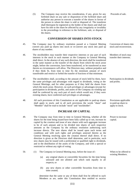(5) The Company may receive the consideration, if any, given for any forfeited share on any sale or disposition of the forfeited share and authorise any person to execute a transfer of the shares in favour of the person to whom the share is sold or disposed of. The transferee shall thereupon be registered as the holder of the shares and shall not have his title to the share be affected by any irregularity or invalidity in the proceedings in reference to the forfeiture, sale, or disposal of the shares.

#### **CONVERSION OF SHARES INTO STOCK**

- 45. The Company may by ordinary resolution passed at a General Meeting convert any paid up shares into stock or re-convert any stock into paid up shares of any number.
- 46. The stockholders may transfer their respective interests or any part of such interests in the stock in such manner as the Company in General Meeting shall direct. In the absence of any such direction, the stock shall be transferred in the same manner as the transfer of the shares from which the stock arose might, before the conversion, have been transferred, or be transferred as near thereto as circumstances will allow. The Directors may, without prejudice and if they think fit, from time to time fix the minimum amount of stock transferable and restrict or forbid the transfer of fractions of that minimum.
- 47. The stockholders shall, according to the amount of stock held by them, have the same privileges and advantages with regard to dividends, voting at the General Meetings, and for other purposes as if they held the shares from which the stock arose. However, no such privileges or advantages (except for participation in dividends, profits, and assets of the Company on winding up) shall be conferred by any such part of stock which would not, if they were existing shares, have conferred such privileges or advantages.
- 48. All such provisions of this Constitution as are applicable to paid-up shares shall apply to stock, and in all such provisions the words "share" and "Member" shall be read to include "stock" and "stockholder".

### **INCREASE OF CAPITAL**

49. The Company may from time to time in General Meeting, whether all the shares for the time being issued have been fully called up or not, increase its capital by the creation and issue of new shares with such aggregate increase to be of such amount and to be divided into shares of such respective amounts as the Company by the ordinary resolution authorising such increase directs. The new shares shall be issued upon such terms and conditions and with such rights and privileges annexed thereto as the General Meeting resolving upon the creation thereof shall direct. If no direction is given as the Directors shall determine, and in particular, such new shares may be issued with a preferential or qualified right to dividends, and in the distribution of the assets of the Company, and with a special or restricted or without any right of voting.

#### 50. (1) The Company in General Meeting may, before the issue of:-

- (a) any original shares or convertible Securities for the time being unissued and not allotted and which rank equally in all respects; or
- (b) any new shares or other convertible Securities from time to time created;

determine that the same or any of them shall first be offered to such Members as are, under this Constitution then entitled to receive Proceeds of sale.

Conversion of shares into stock and reconversion.

Members of stock may transfer their interests.

Participation in dividends and profits.

Provisions applicable to paid-up share to apply to stock.

Power to increase capital.

When to be offered to existing Members.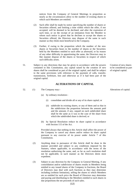notices from the Company of General Meetings in proportion as nearly as the circumstances allow to the number of existing shares to which such Members are entitled.

- (2) Such offer shall be made by notice specifying the number of shares or Securities offered, and limiting a time within which the offer, if not accepted, will be deemed to be declined, and after the expiration of such time, or on the receipt of an intimation from the Member to whom such notice is given that he declines to accept the shares or Securities offered, the Directors may dispose of the same in such manner as they think most beneficial to the Company.
- (3) Further, if owing to the proportion which the number of the new shares or Securities bears to the number of shares or the Securities held by the Members entitled to such offer as aforesaid, or by reason of any other difficulty in apportioning the same, the Directors may in like manner dispose of the shares or Securities in respect of which such difficulty arises.
- 51. Subject to any directions that may be given in accordance with the powers contained in this Constitution, any capital raised by the creation of new shares shall be considered as part of the original capital, and shall be subject to the same provisions with reference to the payment of calls, transfer, transmission, forfeiture, lien and otherwise as if it had been part of the original capital.

#### **ALTERATIONS OF CAPITAL**

- 52. (1) The Company may:-
	- (a) by ordinary resolution:-
		- (i) consolidate and divide all or any of its share capital; or
		- (ii) subdivide its existing shares, or any of them and so that in the subdivision the proportion between the amount paid and the amount, if any, unpaid on each subdivided share shall be the same as it was in the case of the share from which the subdivided share is derived; or
	- (b) by Special Resolution reduce its share capital in accordance with Section 115 of the Act.

Provided always that nothing in this Article shall affect the power of the Company to cancel any shares and/or reduce its share capital pursuant to any exercise of its power under Article 7 of this Constitution.

- (2) Anything done in pursuance of this Article shall be done in the manner provided and subject to any conditions imposed by the Statutes, where applicable, in accordance with the terms of the resolution authorising the same, and, so far as such resolution shall not be applicable, in such manner as the Directors deem most expedient.
- (3) Subject to any direction by the Company in General Meeting, if any consolidation and/or subdivision of shares results in Members being entitled to any issued shares of the Company in fractions, the Board of Directors may deal with such fractions as they may determine including (without limitation), selling the shares to which Members are so entitled for such price the Board of Directors may determine and paying and distributing to the Members entitled to such shares in due proportions the net proceeds of such sales.

Creation of new shares to be considered as part of original capital.

Alterations of capital.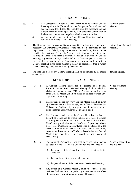#### **GENERAL MEETINGS**

- 53. (1) The Company shall hold a General Meeting as its Annual General Meeting within six (6) months of the Company's financial year end and not more than fifteen (15) months after the preceding Annual General Meeting unless approved by the Companies Commission of Malaysia or other relevant regulatory bodies and authorities.
	- (2) All General Meetings other than Annual General Meetings shall be called Extraordinary General Meetings.
- 54. The Directors may convene an Extraordinary General Meeting as and when necessary. An Extraordinary General Meeting shall also be convened on such requisition, or, in default, may be convened by such requisitionists, as provided by Sections 311 and 312 of the Act. If at any time there are insufficient Directors to form a quorum to call an Extraordinary General Meeting, any Director or any Member holding at least ten per cent (10%) of the issued share capital of the Company may convene an Extraordinary General Meeting in the same manner as nearly as possible as that in which General Meetings may be convened by the Directors.
- 55. The time and place of any General Meeting shall be determined by the Board of Directors.

#### **NOTICE OF GENERAL MEETINGS**

- 56. (1) (a) A General Meeting called for the passing of a Special Resolution or an Annual General Meeting shall be called by giving at least twenty-one (21) days' notice in writing. Any other General Meeting shall be called by at least fourteen (14) days' notice in writing.
	- (b) The requisite notice for every General Meeting shall be given by advertisement in at least one (1) nationally circulated Bahasa Malaysia or English daily newspaper and in writing to each stock exchange upon which the Company is listed.
	- (c) The Company shall request the Central Depository to issue a Record of Depositors to whom notices of General Meetings shall be given by the Company in accordance with the Rules. The Company shall also request the Central Depository to issue a Record of Depositors in accordance with the Rules, as at the latest date which is reasonably practicable which shall in any event be not less than three (3) Market Days before the General Meeting (referred to as "the General Meeting Record of Depositors").
	- (2) (a) The notice of a General Meeting shall be served in the manner as stated in Article 141 of this Constitution and shall specify:-
		- (i) the venue(s) of the General Meeting as determined by the Directors;
		- (ii) date and time of the General Meeting; and
		- (iii) the general nature of the business of the General Meeting.
		- (b) Any notice of a General Meeting called to consider special business shall also be accompanied by a statement on the effect of any proposed resolution on such special business.

Annual General Meeting.

Extraordinary General Meeting.

Time and place.

Notice of General Meeting.

Notice to specify time and business.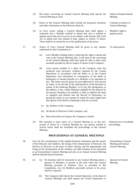- (3) The notice convening an Annual General Meeting shall specify the General Meeting as such.
- (4) Notice of the General Meeting shall include the proposed resolution and other information as the Directors deem fit.
- (5) In every notice calling a General Meeting there shall appear a statement that a Member entitled to attend and vote is entitled to appoint more than one (1) proxy in accordance with Section 294 of the Act to attend and vote instead of him, subject to Article 73 below. There shall be no restriction as to the qualification of the proxy.
- 57. (1) Notice of every General Meeting shall be given in any manner authorised by this Constitution to:-
	- (a) every Member holding shares conferring the right to attend and vote at the General Meeting who, at the time of the convening of the General Meeting, shall have paid all calls or other sums presently payable by him in respect of shares in the Company;
	- (b) every person entitled to a share of the Company (who has produced such necessary evidence required by the Central Depository in accordance with the Rules or as the Central Depository may determine) in consequence of the death or bankruptcy or mental disorder of a Member or by operation of law. The notice may be given by post addressed to such person by name, or by the title of the representative of the deceased or trustee of the bankrupt Member, or by any like designation, at the address, if any, within Malaysia supplied for the purpose by the person claiming to be entitled, or until an address has been so supplied and entered into the Record of Depositors, by giving the notice in any manner in which the same might have been given if the death or bankruptcy had not occurred;
		- (c) the Auditors of the Company;
		- (d) the Board of Directors of the Company; and
		- (e) Bursa Securities (so long as the Company is listed).
	- (2) The omission to give notice of a General Meeting to, or the nonreceipt of notice of a General Meeting by, any person entitled to receive notice shall not invalidate the proceedings at that General Meeting.

#### **PROCEEDINGS AT GENERAL MEETINGS**

- 58. Save for the consideration of the audited financial statements and the reports of the Directors and Auditors, the fixing of the remuneration of Directors, the election of Directors in the place of those retiring, and the appointment and fixing of the remuneration of the Auditors, all other business to be transacted at an Extraordinary General Meeting and also at an Annual General Meeting shall be deemed special business.
- 59. (1) (a) No business shall be transacted at any General Meeting unless a quorum of Members is present at the time when the General Meeting proceeds to business. Save as provided in this Constitution, two (2) Members personally present or by proxy shall be a quorum.
	- (b) The Company shall inform the Central Depository of the dates of General Meetings and shall request the Central Depository to

(14)

Notice of Annual General Meeting.

Contents of notices of General Meetings.

Member's right to appoint proxy.

To whom given.

Omission not to invalidate proceedings.

Extraordinary General Meeting and Annual General Meeting.

Quorum at General Meeting.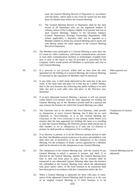issue the General Meeting Record of Depositors in accordance with the Rules, which shall in any event be issued not less than three (3) Market Days before the General Meeting.

- (c) The General Meeting Record of Depositors shall be the final record of all Depositors who are the registered holders of ordinary shares of the Company eligible to be present and vote at such General Meetings. Subject to the Securities Industry (Central Depository) (Foreign Ownership) Regulations 1996 (where applicable), a depositor shall not be regarded as a Member entitled to attend any General Meeting and to speak and vote thereat unless his name appears in the General Meeting Record of Depositors.
- (2) The Members may participate in a General Meeting at more than one (1) venue by video conference, web-based communication, electronic or such other communication facilities or technologies available from time to time in the future as may be provided or prescribed by the Company which would permit all Members to participate and vote at such General Meeting.
- 60. (1) If a quorum is not present within half an hour from the time appointed for the holding of a General Meeting, the General Meeting, if convened on the requisition of Members shall be dissolved.
	- (2) In any other case, it shall stand adjourned to the same day in the next week, at the same time and place (or if that day be a public holiday, then to the next business day following that public holiday) or to such other day and at such other time and place as the Directors may determine.
	- (3) If at such adjourned General Meeting a quorum is still not present within fifteen (15) minutes from the time appointed for holding the General Meeting, any of the Members present shall be a quorum and may transact the business for which the General Meeting was called.
- 61. (1) The Chairman and in his absence the Vice-Chairman, shall preside as chairperson at every General Meeting, but if there be no such Chairman or Vice-Chairman, or if at any General Meeting the Chairman or the Vice-Chairman is not present within fifteen (15) minutes after the time appointed for holding the same or is unwilling to chair the General Meeting, the Directors present shall choose one of their number, to act as chairperson or if only one (1) Director is present, he shall preside as chairperson if he is willing to act.
	- (2) If no Director is present, or if all the Directors present decline to take the chair, the Members present in person or by proxy and entitled to vote shall elect one of themselves to be the chairperson of the General Meeting. For the avoidance of doubt, a proxy appointed by a Member shall not be elected to be the chairperson at any General Meeting.
- 62. (1) The chairperson of the General Meeting may, with the consent of any General Meeting at which a quorum is present, and shall, if so directed by the General Meeting, adjourn the General Meeting from time to time and from place to place, but no business shall be transacted at any adjourned General Meeting other than the business left unfinished at the General Meeting from which the adjournment took place unless notice of the fresh business to be transacted shall have been given in accordance with this Constitution and/or the Act.
	- (2) When a General Meeting is adjourned for thirty (30) days or more, notice of the adjourned General Meeting shall be given as in the case of an original General Meeting, or if fresh business is to be

(15)

When quorum not present.

Chairperson of General Meetings.

General Meeting may be adjourned.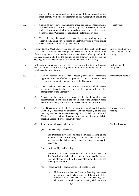transacted at any adjourned Meeting, notice of the adjourned Meeting must comply with the requirements of this Constitution and/or the Act.

- 63. (1) Subject to any express requirement under the Listing Requirements, any resolution set out in the notice of any General Meeting, or in any notice of resolution which may properly be moved and is intended to be moved at any General Meeting, shall be determined by poll. Voting by poll.
	- (2) The poll may be conducted manually using polling slips or electronically using various forms of electronic voting devices and/or other means as determined by the Directors.
- 64. If at any General Meeting any votes shall be counted which ought not to have been counted or might have been rejected, the error shall not vitiate the result of the voting unless it be pointed out at the same General Meeting, and not in that case unless it shall, in the opinion of the chairperson of the General Meeting, be of sufficient magnitude to vitiate the result of the voting.
- 65. In the case of an equality of vote, the chairperson of the General Meeting shall be entitled to have a casting vote in addition to the votes to which he may be entitled as a Member.
- 66. (1) The chairperson of a General Meeting shall allow reasonable opportunity for the Members to question, discuss, comment or make recommendation on the management of the Company.
	- (2) The Members may pass an ordinary resolution which makes recommendations to the Directors on the matters affecting the management of the Company.
	- (3) Subject to the approval by way of Special Resolution, any recommendation, which is in the best interest of the Company, made under Article 66(2) of this Constitution shall bind the Directors.
- 67. (1) The Directors may decide in relation to any General Meeting (including a postponed or adjourned General Meeting, as the case may be) whether the General Meeting is to be held as a Physical Meeting, a Fully Virtual Meeting, a Virtual Meeting or a Hybrid Meeting, unless otherwise required by law. Forms of General Meeting.

Physical Meeting

Error in counting votes not to vitiate result of

voting.

Casting vote of chairperson.

Management Review.

(a) Venue of Physical Meeting

(2) In relation to a Physical Meeting:-

The Directors may decide to hold a Physical Meeting at one or more Meeting Location(s). The main venue shall be the place where the chairperson is present, and shall be located in Malaysia.

(b) Notice of Physical Meeting

The notice of General Meeting pursuant to Article 56(2) of this Constitution shall include a statement to specify that the General Meeting is to be a Physical Meeting and specify the Meeting Location(s).

- (c) Postponement or adjournment of Physical Meeting
	- (i) If, before the scheduled Physical Meeting, any event occurs whereby the chairperson is of the view that it is impractical to conduct a Physical Meeting, the chairperson of such Physical Meeting shall have the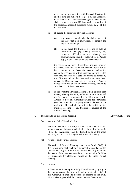discretion to postpone the said Physical Meeting to another date and time to be agreed by the Directors. Once the date and time have been agreed, the Directors shall give at least seven (7) days' notice in writing of the postponed meeting, subject to Article 62(2) of this Constitution.

- (ii) If, during the scheduled Physical Meeting:-
	- (A) any event occurs whereby the chairperson is of the view that it is impractical to conduct the Physical Meeting; or
	- (B) in the event the Physical Meeting is held at more than one (1) Meeting Location, any technical difficulty occurs whereby the communication facilities referred to in Article 59(2) of this Constitution are disconnected,

the chairperson of such Physical Meeting shall adjourn the Physical Meeting which had become impractical to be conducted or had been disconnected and which cannot be reconnected within a reasonable time (as the case may be), to another date and time to be agreed by the Directors. Once the date and time have been agreed, the Directors shall give at least seven (7) days' notice in writing of the adjourned meeting, subject to Article 62(2) of this Constitution.

(iii) In the event the Physical Meeting is held at more than one (1) Meeting Location, under no circumstances will the fact that the communication facilities referred to in Article 59(2) of this Constitution were not operational (whether in whole or in part) either at the start of or during the Physical Meeting affect the validity of the Physical Meeting or any business conducted at the Physical Meeting

Fully Virtual Meeting

(3) In relation to a Fully Virtual Meeting:-

(a) Venue of Fully Virtual Meeting

The main venue of the Fully Virtual Meeting shall be the

online meeting platform which shall be located in Malaysia where the chairperson shall be deemed to be at the main venue by his presence during the Fully Virtual Meeting.

(b) Notice of Fully Virtual Meeting

The notice of General Meeting pursuant to Article 56(2) of this Constitution shall include a statement to specify that the General Meeting is to be a Fully Virtual Meeting, including the details of the main venue and the communication facilities for attendance by electronic means at the Fully Virtual Meeting.

(c) Quorum

A Member participating in a Fully Virtual Meeting by any of the communication facilities referred to in Article 59(2) of this Constitution shall be deemed as present at the Fully Virtual Meeting and shall be counted towards the quorum.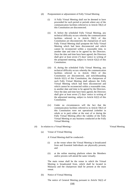- (d) Postponement or adjournment of Fully Virtual Meeting
	- (i) A Fully Virtual Meeting shall not be deemed to have proceeded for such period or periods where any of the communication facilities referred to in Article 59(2) of this Constitution are disconnected.
	- (ii) If, before the scheduled Fully Virtual Meeting, any technical difficulty occurs whereby the communication facilities referred to in Article 59(2) of this Constitution are disconnected, the chairperson of such Fully Virtual Meeting shall postpone the Fully Virtual Meeting which had been disconnected and which cannot be reconnected within a reasonable time, to another date and time to be agreed by the Directors. Once the date and time have been agreed, the Directors shall give at least seven (7) days' notice in writing of the postponed meeting, subject to Article 62(2) of this Constitution.
	- (iii) If, during the scheduled Fully Virtual Meeting, any technical difficulty occurs whereby the communication facilities referred to in Article 59(2) of this Constitution are disconnected, and notwithstanding Article 62(1) of this Constitution, the chairperson of such Fully Virtual Meeting shall adjourn the Fully Virtual Meeting which had been disconnected and which cannot be reconnected within a reasonable time, to another date and time to be agreed by the Directors. Once the date and time have been agreed, the Directors shall give at least seven (7) days' notice in writing of the adjourned meeting, subject to Article 62(2) of this Constitution.
	- (iv) Under no circumstances will the fact that the communication facilities referred to in Article 59(2) of this Constitution were not operational (whether in whole or in part) either at the start of or during the Fully Virtual Meeting affect the validity of the Fully Virtual Meeting or any business conducted at the Fully Virtual Meeting.

#### (4) In relation to a Virtual Meeting:-

#### (a) Venue of Virtual Meeting

A Virtual Meeting shall be conducted:-

- (i) at the venue where the Virtual Meeting is broadcasted from and Essential Individuals are physically present; and
- (ii) at the online meeting platform where the Members and/or proxies will attend the same virtually.

The main venue shall be the venue in which the Virtual Meeting is broadcasted from, which shall be located in Malaysia and the chairperson shall be present at the main venue.

(b) Notice of Virtual Meeting

The notice of General Meeting pursuant to Article 56(2) of

#### Virtual Meeting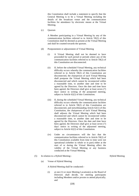this Constitution shall include a statement to specify that the General Meeting is to be a Virtual Meeting including the details of the broadcast venue and the communication facilities for attendance by electronic means at the Virtual Meeting.

(c) Quorum

A Member participating in a Virtual Meeting by any of the communication facilities referred to in Article 59(2) of this Constitution shall be deemed as present at the Virtual Meeting and shall be counted towards the quorum.

- (d) Postponement or adjournment of Virtual Meeting
	- (i) A Virtual Meeting shall not be deemed to have proceeded for such period or periods where any of the communication facilities referred to in Article 59(2) of this Constitution are disconnected.
	- (ii) If, before the scheduled Virtual Meeting, any technical difficulty occurs whereby the communication facilities referred to in Article 59(2) of this Constitution are disconnected, the chairperson of such Virtual Meeting shall postpone the Virtual Meeting which had been disconnected and which cannot be reconnected within a reasonable time, to another date and time to be agreed by the Directors. Once the date and time have been agreed, the Directors shall give at least seven (7) days' notice in writing of the postponed meeting, subject to Article 62(2) of this Constitution.
	- (iii) If, during the scheduled Virtual Meeting, any technical difficulty occurs whereby the communication facilities referred to in Article 59(2) of this Constitution are disconnected, and notwithstanding Article 62(1) of this Constitution, the chairperson of such Virtual Meeting shall adjourn the Virtual Meeting which had been disconnected and which cannot be reconnected within a reasonable time, to another date and time to be agreed by the Directors. Once the date and time have been agreed, the Directors shall give at least seven (7) days' notice in writing of the adjourned meeting, subject to Article 62(2) of this Constitution.
	- (iv) Under no circumstances will the fact that the communication facilities referred to in Article 59(2) of this Constitution available from time to time were not operational (whether in whole or in part) either at the start of or during the Virtual Meeting affect the validity of the Virtual Meeting or any business conducted at the Virtual Meeting.

#### (5) In relation to a Hybrid Meeting:-

#### Hybrid Meeting

(a) Venue of Hybrid Meeting

A Hybrid Meeting shall be conducted:-

(i) at one (1) or more Meeting Location(s) as the Board of Directors shall decide, for meeting participants including Members and/or proxies to attend physically; and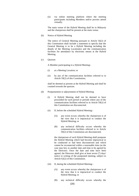(ii) via online meeting platform where the meeting participants including Members and/or proxies attend virtually.

The main venue of the Hybrid Meeting shall be in Malaysia and the chairperson shall be present at the main venue.

(b) Notice of Hybrid Meeting

The notice of General Meeting pursuant to Article 56(2) of this Constitution shall include a statement to specify that the General Meeting is to be a Hybrid Meeting including the details of the Meeting Location(s) and the communication facilities for attendance by electronic means at the Hybrid Meeting.

(c) Quorum

A Member participating in a Hybrid Meeting:-

- (i) at a Meeting Location; or
- (ii) by any of the communication facilities referred to in Article 59(2) of this Constitution;

shall be deemed as present at the Hybrid Meeting and shall be counted towards the quorum.

- (d) Postponement or adjournment of Hybrid Meeting
	- (i) A Hybrid Meeting shall not be deemed to have proceeded for such period or periods where any of the communication facilities referred to in Article 59(2) of this Constitution are disconnected.
	- (ii) If, before the scheduled Hybrid Meeting:-
		- (A) any event occurs whereby the chairperson is of the view that it is impractical to conduct the Hybrid Meeting; or
		- (B) any technical difficulty occurs whereby the communication facilities referred to in Article 59(2) of this Constitution are disconnected,

the chairperson of such Hybrid Meeting shall postpone the Hybrid Meeting which had become impractical to be conducted or had been disconnected and which cannot be reconnected within a reasonable time (as the case may be), to another date and time to be agreed by the Directors. Once the date and time have been agreed, the Directors shall give at least seven (7) days' notice in writing of the postponed meeting, subject to Article 62(2) of this Constitution.

- (iii) If, during the scheduled Hybrid Meeting:-
	- (A) any event occurs whereby the chairperson is of the view that it is impractical to conduct the Hybrid Meeting; or
	- (B) any technical difficulty occurs whereby the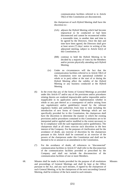communication facilities referred to in Article 59(2) of this Constitution are disconnected,

the chairperson of such Hybrid Meeting shall have the discretion to:-

- (AA) adjourn the Hybrid Meeting which had become impractical to be conducted or had been disconnected and cannot be reconnected within a reasonable time, to another date and time to be agreed by the Directors. Once the date and time have been agreed, the Directors shall give at least seven (7) days' notice in writing of the adjourned meeting, subject to Article 62(2) of this Constitution; or
- (BB) continue to hold the Hybrid Meeting to be decided by a majority of votes by the Members and/or proxies physically attending such Hybrid Meeting.
- (iv) Under no circumstances will the fact that the communication facilities referred to in Article 59(2) of this Constitution were not operational (whether in whole or in part) either at the start of or during the Hybrid Meeting affect the validity of the Hybrid Meeting or any business conducted at the Hybrid Meeting
- (6) In the event that any of the forms of General Meetings as provided under this Article 67 and/or any of the provisions and/or procedures relating thereto are rendered impracticable and/or impossible and/or inapplicable in its application and/or implementation whether in whole or any part thereof as a consequence of and/or arising from any regulation(s) and/or guideline(s) issued by the relevant regulatory bodies and authorities from time to time including the introduction of new forms of General Meetings which are not specifically provided for in this Constitution, the chairperson shall have the discretion to determine the manner in which the existing provisions and/or procedures contained in this Constitution are to be interpreted and/or applied and/or modified to the extent necessary to be in compliance with the said regulation(s) and/or guideline(s). The chairperson shall at all times exercise such discretion in the best interest of the Company. For the purposes of clarification and for the avoidance of doubt, any exercise of discretion by the chairperson pursuant to this Article shall be construed as an exercise of the powers of the chairperson under this Constitution and shall not be deemed to be or amount to an amendment to the Constitution.
- (7) For the avoidance of doubt, all references to "disconnected" communication facilities in Article 67 shall refer to the disconnection of the communication facilities provided or prescribed by the Company and shall not include the disconnection of the communication facilities of one or more Members.
- 68. Minutes shall be made in books provided for the purpose of all resolutions and proceedings of General Meetings and shall be kept at the Office pursuant to the Act, and any such minutes, if signed by the chairperson of such General Meeting, or by the chairperson of the next succeeding General Meeting, shall be evidence of the facts stated in such minutes.

Minutes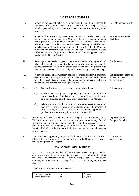#### **VOTES OF MEMBERS**

69. Subject to any special rights or restrictions for the time being attached to any class or classes of shares in the capital of the Company, every Member personally present or by proxy shall have one vote for every share held by him. How Members may vote. 70. Subject to this Constitution, a committee, curator or such other person who has been appointed to manage a Member, who is of unsound mind, or whose person or estate is liable to be dealt with in any way under the law relating to mental disorder, may vote at a General Meeting on behalf of such Member, provided that the evidence as may be required by the Directors to confirm the authority of such persons shall have been deposited at the Office not less than forty-eight (48) hours before the time appointed for the holding of the General Meeting. Vote by persons under disability. 71. Save as provided herein, no person other than a Member duly registered and who shall have paid everything for the time being due from him and payable to the Company in respect of his shares, shall be entitled to be present or to vote on any question, either personally or by proxy at any General Meeting. Entitlement to vote. 72. Where the capital of the Company consists of shares of different monetary denominations, voting rights shall be prescribed in such a manner that a unit of capital in each class, when reduced to a common denominator, shall carry the same voting power when such right is exercisable. Voting rights of shares of different monetary denominations. 73. (1) On a poll, votes may be given either personally or by proxy. (2) A proxy shall be any person appointed by a Member and who shall not necessarily be a Member and such proxy shall be entitled to vote on a poll provided he is the only proxy appointed by the Member. (3) Where a Member entitled to vote on a resolution has appointed more than one (1) proxy, the proportion of shareholdings to be represented by each proxy must be specified in the instrument appointing the proxies, otherwise, the appointment shall not be valid. Poll and proxy. 74. Any company which is a Member of this Company may, by minutes of its Directors, authorise any person to act as its representative at any General Meetings; and such representative shall be entitled to exercise the same powers on behalf of the company which he represents as if he had been an individual Member of the Company, including power when personally present to vote on a poll. Representation of Company-Member. 75. The instrument appointing a proxy shall be in the form or to the effect of the following or in any other form which the Directors may from time to time prescribe or approve:- Instrument of appointment.

#### **"MALAYAN BANKING BERHAD"**

I, ……of……being a Member of the abovementioned Company, hereby appoint…...... of………as my proxy (ies), to vote for me and on my behalf, at the Annual (or Extraordinary as the case may be) General Meeting of the Company to be held on the ……..day of …………… and at any adjournment thereof.

My/Our proxy is to vote as indicated below:-

| Ordinary resolution | For | Against |
|---------------------|-----|---------|
| Special resolution  | For | Against |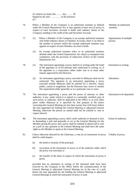As witness my hand, this …….. day …….. 20 Signed by the said ………….. in the presence of:-"

- 76. Where a Member of the Company is an authorised nominee as defined under the Central Depositories Act, it may appoint at least one (1) proxy in respect of each Securities Account it holds with ordinary shares of the Company standing to the credit of the said Securities Account.
- 77. (1) Where a Member of the Company is an exempt authorised nominee who holds ordinary shares in Omnibus Accounts, there is no limit to the number of proxies which the exempt authorised nominee may appoint in respect of each Omnibus Account it holds.
	- (2) An exempt authorised nominee refers to an authorised nominee defined under the Central Depositories Act which is exempted from compliance with the provision of subsection 25A(1) of the Central Depositories Act.
- 78. (1) The instrument appointing a proxy shall be in writing under the hand of the appointer or of his attorney duly authorised in writing, or, if the appointer is a corporation, either under seal or in some other manner approved by the Directors. Instrument in writing.

Member an authorised

Appointment of multiple

nominee.

proxies.

Attestation.

- (2) An instrument appointing a proxy executed in Malaysia need not be witnessed. The signature to an instrument appointing a proxy executed outside Malaysia shall be attested by a solicitor, notary public, consul or magistrate, but the Directors may waive or modify this requirement either generally or in a particular case or cases.
- 79. The instrument appointing a proxy and the power of attorney or other authority, if any, under which it is signed or a notarially certified copy of such power or authority, shall be deposited at the Office or at such other place within Malaysia as is specified for that purpose in the notice convening the General Meeting not less than twenty-four (24) hours before the time appointed for holding the General Meeting or adjourned General Meeting, otherwise the person so named shall not be entitled to vote in respect thereof. Instrument to be deposited.
- 80. The instrument appointing a proxy shall confer authority to demand or join in demanding a poll and generally to act at the General Meeting for the Member giving the proxy and a proxy shall be entitled to attend and to vote on a poll on any question at the General Meeting and shall have the same rights as the Member to speak at the General Meeting. Extent of authority.
- 81. Unless otherwise directed by the Chairman, a vote by an instrument of proxy Validity of proxy.shall be valid despite:-
	- (a) the death or insanity of the principal;
	- (b) revocation of the instrument of proxy or of the authority under which the proxy was executed; or
	- (c) the transfer of the share in respect of which the instrument of proxy is given,

provided that no intimation in writing of the aforesaid shall have been received by the Company at the Office before the commencement of the General Meeting or adjourned General Meeting (or in the case of a poll, before the time appointed for the holding the General Meeting or adjourned General Meeting) at which the instrument of proxy is used.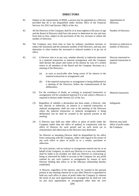#### **DIRECTORS**

- 82. Subject to the requirements of BNM, a person may be appointed as a Director provided that he is not disqualified under Section 59(1) of the Financial Services Act 2013 and Section 198(1) of the Act. Appointment of Directors.
- 83. All the Directors of the Company shall be of at least eighteen (18) years of age and the Board of Directors shall have the power to determine its size and may from time to time, subject to the provisions of the Act, increase or reduce the number of Directors.
- 84. The Company may from time to time by ordinary resolution increase or reduce the maximum and the minimum number of the Directors, and may also determine in what rotation the increased or reduced number is to go out of office.
- 85. (1) A Director who is in any way, whether directly or indirectly interested in a material transaction or material arrangement with the Company shall declare the nature and extent of his interest by way of a written notice to all members of the Board and the Company Secretary at a meeting of the Directors:-
	- (a) as soon as practicable after being aware of his interest in the material transaction or arrangement; and
	- (b) if the material transaction or arrangement is being deliberated at a meeting of the Directors, before the commencement of the deliberation.
	- (2) For the avoidance of doubt, an existing or proposed transaction or arrangement will be considered material if it is one which a Director is required to declare under Section 221 of the Act.
	- (3) Regardless of whether a declaration has been made, a Director, who has, directly or indirectly, an interest in a material transaction or material arrangement, shall not vote at the meeting of the Directors where the material transaction or material arrangement is being deliberated, but he shall be counted in the quorum present at the meeting.
	- (4) A Director may hold any other office or place of profit under the Company (other than the office of auditor) in conjunction with his office of Director for such period and on such terms (as to remuneration and otherwise) as the Directors may determine.

No Director or intending Director shall be disqualified by his office from contracting with the Company, either with regard to his tenure of any such office or place of profit or as a vendor, purchaser or otherwise.

No such contract, and no contract or arrangement entered into by or on behalf of the Company, in which any Director is in any way interested, shall be liable to be avoided, nor shall any Director so contracting or being so interested be liable to account to the Company for any profit realised by any such contract or arrangement by reason of such Director holding that office or of the fiduciary relationship thereby established.

A Director, regardless of his interest, may be counted in the quorum present at any meeting whereat he or any other Director is appointed to hold any such office or place of profit under the Company or whereat the terms of any such appointment are arranged but he shall not vote on any such appointment or arrangement other than his own

(24)

Director interested in material transaction to declare.

Increase or reduction in number of Directors.

Number of Directors.

Material transaction.

Safeguards.

Director may hold office of profit under the Company.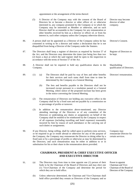appointment or the arrangement of the terms thereof.

|     | (5) |                                                                                                                                                                                                                                                                                                                                               | A Director of the Company may with the consent of the Board of<br>Directors be or become a director or other officer of, or otherwise<br>interested in, any company promoted by the Company or in which the<br>Company may be interested as Member or otherwise, and no such<br>Director shall be accountable to the Company for any remuneration or<br>other benefits received by him as a director or officer of, or from his<br>interest in, such other company unless the Company otherwise directs. | Director may become<br>director of other<br>company. |  |  |
|-----|-----|-----------------------------------------------------------------------------------------------------------------------------------------------------------------------------------------------------------------------------------------------------------------------------------------------------------------------------------------------|----------------------------------------------------------------------------------------------------------------------------------------------------------------------------------------------------------------------------------------------------------------------------------------------------------------------------------------------------------------------------------------------------------------------------------------------------------------------------------------------------------|------------------------------------------------------|--|--|
| 86. |     | A person shall not be appointed as a Director of the Company unless he has<br>Director's Consent.<br>consented in writing to be a director and makes a declaration that he is not<br>disqualified from being a Director of the Company under the Statutes.                                                                                    |                                                                                                                                                                                                                                                                                                                                                                                                                                                                                                          |                                                      |  |  |
| 87. |     | The Directors shall keep a register of directors as required by Section 57 of<br>Register of Directors to<br>the Act, and the Directors may determine the times (not being less than two<br>be kept.<br>(2) hours a day) at which the said register shall be open to the inspection in<br>accordance with the terms of Section 57 of the Act. |                                                                                                                                                                                                                                                                                                                                                                                                                                                                                                          |                                                      |  |  |
| 88. |     | A Director shall not be required to hold any qualification shares in the<br>Company.                                                                                                                                                                                                                                                          |                                                                                                                                                                                                                                                                                                                                                                                                                                                                                                          | Shareholding<br>qualification of Directors.          |  |  |
| 89. | (1) | (a)                                                                                                                                                                                                                                                                                                                                           | The Directors shall be paid by way of fees and other benefits<br>for their services and such sums shall from time to time be<br>determined by the Company at a General Meeting.                                                                                                                                                                                                                                                                                                                          | Directors' remuneration.                             |  |  |
|     |     | (b)                                                                                                                                                                                                                                                                                                                                           | The fees and benefits payable to the Directors shall not be<br>increased except pursuant to a resolution passed at a General<br>Meeting, where notice of the proposed increase has been given<br>in the notice convening the General Meeting.                                                                                                                                                                                                                                                            |                                                      |  |  |
|     | (2) | The remuneration of Directors not holding any executive office in the<br>Company shall be by a fixed sum and not payable by a commission on<br>or percentage of profits or turnover.                                                                                                                                                          |                                                                                                                                                                                                                                                                                                                                                                                                                                                                                                          |                                                      |  |  |
|     | (3) | In addition to the remuneration above-mentioned, any Director<br>attending meetings of the Directors or of any committee of the<br>Directors or undertaking any duties or assignments on behalf of the<br>Company shall be entitled to be reimbursed by the Company in respect                                                                |                                                                                                                                                                                                                                                                                                                                                                                                                                                                                                          |                                                      |  |  |

Company may remunerate Director for certain services.

90. If any Director, being willing, shall be called upon to perform extra services, or be required to go or reside abroad or otherwise for any of the purpose of the Company, the Company may remunerate the Director so doing either by a fixed sum or by a percentage of profits or otherwise as may be determined by the Directors, and such remuneration may be either in addition to or in substitution for his or their share in the remuneration above provided.

such duties or assignments.

of all expenses (including travelling and hotel expenses) reasonably incurred by him by reason of such attendance or the carrying out of

#### **CHAIRMAN, PRESIDENT & CHIEF EXECUTIVE OFFICER AND EXECUTIVE DIRECTOR**

91. (a) The Directors may from time to time appoint one (1) person of their body to be the Chairman of the Board of Directors and may elect one (1) Vice-Chairman of the Company and determine the period for which they are to hold office.

Power to appoint Chairman and Vice-Chairman of the Board of Directors of the Company

(b) Unless otherwise determined, the Chairman and Vice-Chairman shall hold office provided they remain as Directors of the Company and so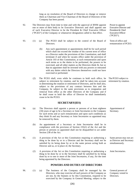long as no resolution of the Board of Directors to change or remove them as Chairman and Vice-Chairman of the Board of Directors of the Company has been passed.

- 92. The Directors may from time to time and with the approval of BNM appoint one or more of their body to be Executive Directors and shall appoint one of such Executive Director to be the President & Chief Executive Officer ("PCEO") of the Company or whatsoever designation called to that effect.
- 93. (1) (a) The PCEO shall be subject to the control of the Board of Directors.
	- (b) Any such appointment or appointments shall be for such period which shall not exceed the residue of his current term of office as a Director under the provisions of this Constitution, and shall terminate if and when he vacates office under the provision of Article 103 of this Constitution, at such remuneration and upon such terms as to the duties to be performed, the powers to be exercised, and all other matters as the Directors think fit, but so that no appointee shall be invested with any powers or entrusted with any duties which the Directors themselves could not have exercised or performed.
	- (2) The PCEO shall, even while he continues to hold such office, be subject to retirement by rotation, and he shall be taken into account in determining the rotation or retirement of Directors, and he shall also, subject to the provisions of any contract between him and the Company, be subject to the same provisions as to resignation and removal from office as the other Directors of the Company and if he shall cease to hold the office of Director he shall immediately cease to be the PCEO.

#### **SECRETARY(IES)**

- 94. (a) The Directors shall appoint a person or persons of at least eighteen (18) years of age to be a Secretary or Joint Secretaries to the Company for such terms and at such remuneration and upon such conditions as they think fit and any Secretary or Joint Secretaries so appointed may be removed by them.
	- (b) An appointment of a Secretary or Joint Secretaries shall be in compliance with the provision of Section 235(2) of the Act and the person or persons so appointed shall not be disqualified to act under Section 238 of the Act.
- 95. (1) A provision of the Act or this Constitution requiring or authorising a thing to be done by or to a Director and the Secretary shall not be satisfied by its being done by or to the same person acting both as Director and as, or in place of, the Secretary.
	- (2) A provision of the Act or this Constitution requiring or authorising a thing to be done by or to the Secretary shall be satisfied by its being done by or to one or more of the Joint Secretaries, if any, for the time being appointed by the Directors.

#### **POWERS AND DUTIES OF DIRECTORS**

96. (1) (a) The business of the Company shall be managed by the Directors, who may exercise all such powers of the Company as are not, by the Statutes or by this Constitution, required to be exercised by the Company in General Meeting, subject to the

Power to appoint Executive Director and President & Chief ExecutiveOfficer ("PCEO").

Term of office and remuneration of PCEO.

The PCEO subject to retirement by rotation.

Appointment of Secretary.

Same person may not act as Director and Secretary simultaneously.

Joint Secretaries.

General powers of Company vested in Directors.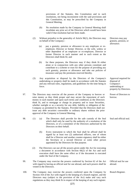provisions of the Statutes, this Constitution and to such resolutions, not being inconsistent with the said provisions and this Constitution, as may be prescribed by the Company in General Meeting.

- (b) No resolution made by the Company in General Meeting shall invalidate any prior act of the Directors which would have been valid if that resolution had not been made.
- (2) Without prejudice to the generality of Article 96(1), the Directors may on behalf of the Company:-
	- (a) pay a gratuity, pension or allowance to any employee or exemployee, Director or former Director, or the wife, widow or other dependent of an employee or ex-employee, Director or former Director in such manner and to such extent as the Directors shall think fit; and
	- (b) for these purposes, the Directors may if they think fit either alone or in conjunction with any other persons constitute and contribute to a scheme or trust for the purpose of providing any such gratuity, pension or allowance and take out policies of insurance and pay the premiums reserved thereby.
- (3) Any acquisition or disposal by the Directors of the Company's undertaking or property shall be made in accordance with the Statutes and any relevant rules, regulations, and guidelines for the time being in force.
- 97. The Directors may exercise all the powers of the Company to borrow or raise money as they think proper and may secure the repayment of such money in such manner and upon such terms and conditions as the Directors think fit, and to mortgage or charge its property and to issue Securities, whether outright or as a security for any debt, liability or obligation of the Company as permitted by the Statutes. Provided that the Directors shall not issue any debt securities convertible to ordinary shares without the prior approval of the Company in General Meeting.
- 98. (1) (a) The Directors shall provide for the safe custody of the Seal which shall only be used by the authority of a resolution of the Directors, or of a committee of the Directors authorised by the Directors on their behalf.
	- (b) Every instrument to which the Seal shall be affixed shall be signed by at least two (2) authorised officers, one of whom shall be a Director and another counter-signatory shall be either the Secretary or a second Director or some other person appointed by the Directors for that purpose.
	- (2) The Directors can use all the powers given under the Act for executing a document in accordance with Section 66(2) of the Act and such execution shall have the same effect as if the document is executed under the Seal of the Company.
- 99. The Company may exercise the powers conferred by Section 62 of the Act with regard to having an official seal for use abroad, and such powers shall be vested in the Directors.
- 100. The Company may exercise the powers conferred upon the Company by Section 164 of the Act with regard to the keeping of a branch register, and the Directors may (subject to the provision of the Act) make and vary such regulations as they may think fit in respect of the keeping of any such register.

Directors may pay gratuity, pension, or allowance.

Approval required for disposal of Company's undertaking or property by Directors.

Power of Directors to borrow.

Seal and official seal.

Official seal for use abroad.

Branch Register.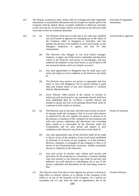- 101. All cheques, promissory notes, drafts, bills of exchange and other negotiable instruments or transferable instruments and all receipts for monies paid to the Company shall be signed, drawn, accepted, endorsed or otherwise executed, as the case may be, in such manner and by such persons as the Directors shall from time to time by resolution determine.
- 102. (1) (a) The Directors from time to time and at any time may establish any local boards or agencies for managing any of the affairs of the Company, either in Singapore or elsewhere, and may appoint any persons to be members of such local boards, or any managers, inspectors, or agents, and may fix their remuneration.
	- (b) The Directors may delegate to any local board, manager, inspector, or agent, any of the powers, authorities and discretion vested in the Directors with power to sub-delegate, and may authorise the members of any local board, or any of them to fill any vacancies therein, and to act despite vacancies.
	- (c) Any such appointment or delegation may be made upon such terms and subject to such conditions as the Directors may think fit.
	- (d) The Directors may remove any person so appointed, and may annul or vary such delegation, but no person dealing in good faith and without notice of any such annulment or variation shall be affected thereby.
	- (e) Every Director while present in the country or territory in which any such local board or any committee thereof shall have been established shall be ex-officio a member thereof and entitled to attend and vote at all meetings thereof held while he is present in such country or territory.
	- (2) (a) The Directors may at any time, and from time to time, by power of attorney under the Company's Seal or in such other manner as authorised by the Act, appoint any person or persons to be the attorney or attorneys of the Company for such purposes and with such powers, authorities and discretions (not exceeding those vested in or exercisable by the Directors under this Constitution), and for such period and subject to such conditions as the Directors may from time to time think fit.
		- (b) Any such appointment may (if the Directors think fit) be made in favour of any of the members of any local board established as aforesaid, or in favour of any company, or of the members, directors, nominees, or managers of any company or firm, or in favour of any fluctuating body of persons, whether nominated directly or indirectly by the Directors.
		- (c) Any such power of attorney may contain such powers and provisions for the protection or convenience of persons dealing with such attorney as the Directors may think fit and may also authorise any such attorney to sub-delegate all or any of the powers, authorities and discretions for the time being vested in him.
	- (3) The Directors may from time to time appoint any person or persons to hold office as General Adviser or as Adviser to the Company at the Office or at any of the branches of the Company, for a period not exceeding one (1) year from the date of appointment, but at the

Execution of negotiable instruments.

Local boards or agencies.

Powers of Attorney.

General Advisers.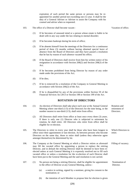expiration of such period the same person or persons may be reappointed for another period not exceeding one (1) year. It shall be the duty of a General Adviser or Adviser to assist the Company with his counsel and advise when so requested.

#### 103. The office of a Director shall become vacant:-

#### Vacation of office.

- (1) If he becomes of unsound mind or a person whose estate is liable to be dealt with in any way under the law relating to mental disorder;
- (2) If he becomes bankrupt during his term of office;
- (3) If he absents himself from the meetings of the Directors for a continuous period of three (3) months without having obtained special leave of absence from the Board of Directors and they have passed a resolution that he has by reason of such absence vacated his office;
- (4) If the Board of Directors shall receive from him his written notice of his resignation in accordance with Section 208(2) and Section 208(3) of the Act;
- (5) If he becomes prohibited from being Director by reason of any order made under the provisions of the Act;
- (6) If he dies;
- (7) If he is removed by a resolution of the Company in General Meeting in accordance with Section 206(2) of the Act;
- (8) If he is disqualified by any of the provisions within Section 59 of the Financial Services Act 2013 or Section 198 or Section 199 of the Act.

#### **ROTATION OF DIRECTORS**

| 104. | (1) |                                                                                                                                                                                                                                                                                                                                | An election of Directors shall take place each year at the Annual General<br>Meeting where one-third $(1/3)$ of the Directors for the time being, or the<br>number nearest to one-third $(1/3)$ , shall retire from office.                                                                                                                                                                                                                                                                          | Rotation and<br>retirement of<br>Directors. |
|------|-----|--------------------------------------------------------------------------------------------------------------------------------------------------------------------------------------------------------------------------------------------------------------------------------------------------------------------------------|------------------------------------------------------------------------------------------------------------------------------------------------------------------------------------------------------------------------------------------------------------------------------------------------------------------------------------------------------------------------------------------------------------------------------------------------------------------------------------------------------|---------------------------------------------|
|      | (2) |                                                                                                                                                                                                                                                                                                                                | All Directors shall retire from office at least once every three (3) years.<br>If there is only one (1) Director who is subjected to retirement by<br>rotation, he shall retire. All Directors who retire from office shall be<br>eligible for re-election.                                                                                                                                                                                                                                          |                                             |
| 105. |     | The Directors to retire in every year shall be those who have been longest in<br>Which Directors to<br>office since their appointment or last election. As between persons who become<br>retire.<br>Directors on the same day, those to retire shall (unless they otherwise agree<br>amongst themselves) be determined by lot. |                                                                                                                                                                                                                                                                                                                                                                                                                                                                                                      |                                             |
| 106. |     |                                                                                                                                                                                                                                                                                                                                | The Company at the General Meeting at which a Director retires as aforesaid<br>may fill the vacated office by appointing a person to replace the retiring<br>Director, and in default the retiring Director shall be deemed to have been re-<br>elected unless at such General Meeting it is expressly resolved not to fill such<br>vacated office or unless a resolution for the re-election of such Director shall<br>have been put to the General Meeting and the said resolution is not carried. | Filling of vacancy.                         |
| 107. | (1) |                                                                                                                                                                                                                                                                                                                                | No person not being a retiring Director, shall be eligible for appointment<br>to the office of Director at any General Meeting, unless:-                                                                                                                                                                                                                                                                                                                                                             | Nomination of<br>Director.                  |
|      |     | (a)                                                                                                                                                                                                                                                                                                                            | a notice in writing, signed by a nominee, giving his consent to the<br>nomination; or                                                                                                                                                                                                                                                                                                                                                                                                                |                                             |

(b) the intention of such Member to propose him for election is given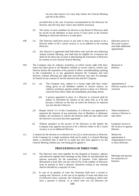not less than eleven (11) clear days before the General Meeting and left at the Office,

provided that in the case of persons recommended by the Directors for election, nine (9) clear days' notice only shall be necessary.

- (2) The notice of each candidate for election to the Board of Directors shall be served on the Members at least seven (7) days prior to the General Meeting at which the election is to take place.
- 108. (1) The Directors shall have power at any time to elect any person to be a Director either to fill a casual vacancy or as an addition to the existing Directors.
	- (2) Any Director so appointed shall hold office only until the next following Annual General Meeting, and shall then be eligible for re-election but shall not be taken into account in determining the retirement of Directors by rotation at such Annual General Meeting.
- 109. The Company may by ordinary resolution, of which twenty eight (28) days' notice has been given to all Members entitled to receive notices, remove any Director before the expiration of his period of office, notwithstanding anything in this Constitution or in any agreement between the Company and such Director, without affecting any right that such Director may have for damages for breach of any contract of service between him and the Company.
- 110. (1) (a) The Company may, subject to a twenty eight (28) days' notice being given to all Members entitled to receive notices, by ordinary resolution appoint another person in place of a Director removed from office under the immediately preceding Article.
	- (b) A person appointed in place of a Director so removed shall be subject to retirement by rotation at the same time as if he had become a Director on the day on which the Director he replaced was last elected a Director.
	- (2) Despite Article 111 of this Constitution, if a Director was appointed to represent the interests of any particular class of Members or debenture holders, the resolution to remove the Director shall not take effect until the Director's successor has been appointed.
	- (3) Without prejudice to the powers of the Directors in this behalf, the Company may appoint any person to be a Director either to fill a casual vacancy or as an additional Director.
- 111. A motion for the election or re-election of two (2) or more persons as Directors of the Company by a single resolution shall not be made at a General Meeting unless a resolution that it shall be so made has first been agreed to by the General Meeting without any vote being given against it.

#### **PROCEEDINGS OF DIRECTORS**

- 112. (1) The Directors may meet together for the despatch of business, adjourn and otherwise regulate their meetings as they think fit, and determine the quorum necessary for the transaction of business. Until otherwise determined at least fifty one per cent (51%) of the number of Directors must be present to form a quorum. Questions arising at any meeting shall be decided by a majority of votes.
	- (2) In case of an equality of votes the Chairman shall have a second or casting vote. However, in the case of an equality of votes and where two (2) Directors form a quorum, the Chairman of a meeting at which only such a quorum is present, or at which only two (2) Directors are

(30)

Directors' power to fill casual vacancy and make additional appointment.

Removal of Director.

Appointment of Director in place of one removed.

When resolution to remove a Director to take effect.

Company's power to fill vacancy or appoint Director.

Motion for appointment or reappointment of two or more Directors.

Meetings and quorum for transaction of business.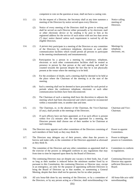competent to vote on the question at issue, shall not have a casting vote.

- 113. (1) On the request of a Director, the Secretary shall at any time summon a meeting of the Directors by notice served upon every Director.
	- (2) Notice of every meeting of the Directors shall be given in writing and shall be served on each Director either personally or by electronic mail or other electronic device or by sending it by post to him at his registered address for the service of such notice with not less than seven (7) days' notice thereof unless such requirement is waived by all the eligible Directors.
- 114. (1) A person may participate in a meeting of the Directors or any committee of the Directors by conference telephone, electronic or such other communication facilities which would permit all persons to participate in the meeting simultaneously and instantaneously.
	- (2) Participation by a person in a meeting by conference, telephone, electronic or such other communication facilities shall be treated as presence in person by that person at the said meeting and shall be counted towards the quorum despite the fact that he is not physically present at the venue where the meeting is to be held.
	- (3) For the avoidance of doubt, such a meeting shall be deemed to be held at the place where the Chairman of the meeting is at the start of the meeting.
	- (4) Such a meeting shall not be deemed to have proceeded for such period or periods where the conference telephone, electronic or such other communication facilities have been disconnected.
	- (5) The Chairman of such a meeting shall have the discretion to adjourn the meeting which had been disconnected and which cannot be reconnected within a reasonable time, to another date and time.
- 115. (1) The Chairman, or, in the absence of the Chairman, the Vice-Chairman (if any), shall preside at the meetings of the Directors.
	- (2) If such officers have not been appointed, or if no such officer is present within five (5) minutes after the time appointed for a meeting, the Directors present shall choose one of their number to be Chairman at such meeting.
- 116. The Directors may appoint such other committees of the Directors consisting of such members of their body as they may think fit.
- 117. The Directors may delegate any of their powers, other than the powers to borrow and make calls, to the committee of the Directors appointed as aforesaid as they think fit.
- 118. The committee of the Directors and any other committees so appointed shall in the exercise of the powers so delegated conform to any regulations that may from time to time be imposed upon them by the Board of Directors.
- 119. The continuing Directors may act despite any vacancy in their body, but, if and so long as their number is reduced below the minimum number fixed by or pursuant to this Constitution, the continuing Directors or Director may, except in an emergency, act only for the purpose of appointing sufficient Directors to bring the Board of Directors up to that number, or summoning a General Meeting, despite that there shall not be quorum, but for no other purpose.
- 120. All acts bona-fide done by any meeting of the Directors, or by a committee of the Directors, or by any person acting as a Director, shall notwithstanding it be

Notice calling meeting of Directors.

Meetings by telephone, electronic, etc.

Chairman and Vice-Chairman.

Power to appoint Committees.

Power to delegate powers to Committees.

Committees to conform to regulations.

Continuing Directors or Director may appoint sufficient Directors to Board.

All bona-fide acts valid notwithstanding.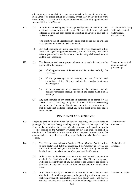afterwards discovered that there was some defect in the appointment of any such Director or person acting as aforesaid, or that they or any of them were disqualified, be as valid as if every such person had been duly appointed and was qualified to be a Director.

121. (1) A resolution in writing signed or approved by letter or telefax or other electronic means by the majority of Directors shall be as valid and effectual as if it had been passed at a meeting of Directors duly called and constituted.

> The effective date of a resolution in writing shall be the date on which it was signed or approved by the last Director.

- (2) Any such resolution in writing may consist of several documents in like form, each signed or approved by one (1) or more Directors, all of which taken together and when delivered to the Secretary shall constitute one and the same resolution.
- 122. (1) The Directors shall cause proper minutes to be made in books to be provided for the purpose:-
	- (a) of all appointments of Directors and Secretaries made by the Directors;
	- (b) of the proceedings of all meetings of the Directors and committees of the Directors and of the attendances at such meetings; and
	- (c) of the proceedings of all meetings of the Company, and all business transacted, resolutions passed and orders made at such meetings.
	- (2) Any such minutes of any meetings, if purported to be signed by the Chairman of such meeting, or by the Chairman of the next succeeding meeting of the Company or Directors or committee, as the case may be, shall be sufficient evidence without any further proof of the facts stated in the minutes.

#### **DIVIDENDS AND RESERVES**

- 123. Subject to Section 51 of the Financial Services Act 2013, and to any rights or privileges for the time being attaching to any share in the capital of the Company having preferential or special rights in regard to dividend, the profits or other monies of the Company available for dividend shall be applied in distribution of dividends upon the shares of the Company in proportion to the amounts paid up or credited as paid up respectively otherwise than in advance of calls.
- 124. (1) The Directors may, subject to Sections 131 to 133 of the Act, from time to time declare and distribute dividends, if the Company is solvent, but no such dividend shall (except as by the Statutes expressly authorised) be distributed otherwise than out of the profits of the Company.
	- (2) A declaration by the Directors as to the amount of the profits at any time available for dividends shall be conclusive. The Directors may only authorise the distribution of any dividends if the Directors are satisfied that the Company will be solvent after the distribution of dividends is made.
- 125. (1) Any authorisation by the Directors in relation to the declaration and distribution of a dividend pursuant to the preceding Article may resolve that such dividend be distributed wholly or in part in specie, and may be satisfied in whole or in part by the distribution amongst the Members in

Resolution in Writing valid and effectual under certain circumstances.

Proper minutes of all appointment and proceedings.

Distribution of dividends.

Declaration of dividend.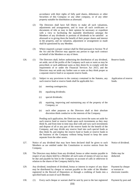accordance with their rights of fully paid shares, debentures or other Securities of this Company or any other company, or of any other property suitable for distribution as aforesaid.

- (2) The Directors shall have full liberty to make all such valuations, adjustments and arrangements, and to issue all such certificates or documents of title as may in their opinion be necessary or expedient with a view to facilitating the equitable distribution amongst the Members of any dividends or portions of dividends to be satisfied as aforesaid or to giving them the benefit of their proper shares and interest in the property, and no valuation, adjustment or arrangement so made shall be questioned by any Member.
- (3) Where required a proper contract shall be filed pursuant to Section 78 of the Act and the Director may appoint any person to sign such contract on behalf of the Members or any of them.
- 126. (1) The Directors shall, before authorising the distribution of any dividend, set aside, out of the profits of the Company such sum or sums as may be prescribed, or such additional sums as they deem fit, to comply with the requirement of or under the Financial Services Act 2013, and the Directors may set aside any further sum or sums as they think proper as a separate reserve fund or as separate reserve funds.
	- (2) Subject to any provisions to the contrary contained in the Statutes, any such reserve fund or reserve funds shall be applicable for:-
		- (a) meeting contingencies;
		- (b) equalising dividends;
		- (c) special dividends;
		- (d) repairing, improving and maintaining any of the property of the Company; or
		- (e) such other purposes as the Directors shall at their absolute discretion think conducive to the interests of the Company.

Pending such application, the Directors may invest the sums set aside for such reserve fund or reserve funds upon such investments as they may think fit, and from time to time may deal with and vary such investments and dispose of all or any part of the reserve funds for the benefit of the Company, and may divide any reserve fund into such special funds as they think fit, and employ the reserve fund or funds or reserve funds in the business of the Company without being bound to keep the same separate from the other assets.

- 127. Notice of any dividend that may have been declared shall be given to such Members as are entitled under this Constitution to receive notices from the Company. Notice of dividend.
- 128. The Directors may deduct from any dividend, bonus or other monies payable in respect of any shares held by a Member all such sums of money (if any) as may be due and payable by him to the Company on account of calls or otherwise in relation to the shares of the Company held by him.
- 129. Any dividend, instalment of dividend, bonus or interest in respect of any share may be distributed by cheque or warrant payable to the order of the Member registered in the Record of Depositors or through a crediting of funds into a specified bank account of such Member. Payment by cheque or warrant or electronic transfer.
- 130. (1) Every such cheque or warrant shall be sent by post to the last registered Payment by post and

Reserve funds.

Application of reserve funds.

Debts may be deducted.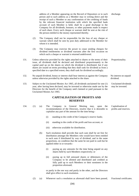address of a Member appearing on the Record of Depositors or to such person and to such address as a Member may in writing direct and the receipt of such a Member or any confirmation of the crediting of funds by the relevant financial institution with which the specified bank account of such Member is held, shall be a good discharge to the Company for all dividends, bonuses, or other payments made in respect of such share. Every such cheque or warrant shall be sent at the risk of the person entitled to the money represented thereby.

- (2) The Company shall not be responsible for the loss of any cheque or warrant which shall be sent by post duly addressed to the Member for whom it is intended.
- (3) The Company may exercise the power to cease sending cheques for dividend entitlements or dividend warrants after the first occasion on which such a cheque or warrant is returned undelivered.
- 131. Unless otherwise provided by the rights attached to shares or the terms of their issue, all dividends shall be declared and distributed proportionately to the capital paid up on the shares on which the dividend is distributed, but if any shares are issued on terms providing that they shall rank for dividend as from a specified date to a specified extent, they shall rank for dividend accordingly.
- 132. No unpaid dividend, bonus or interest shall bear interest as against the Company unless otherwise provided by the rights attached to the share.
- 133. Subject to the Unclaimed Monies Act 1965, all dividends unclaimed for one (1) year, after having been declared, may be invested or otherwise made use by the Directors for the benefit of the Company until claimed or paid pursuant to the Unclaimed Monies Act 1965.

#### **CAPITALISATION OF PROFITS AND RESERVES**

- 134. (1) (a) The Company in General Meeting may, upon the recommendation of the Directors, resolve that it is desirable to capitalise any part of the amount for the time being:-
	- (i) standing to the credit of the Company's reserve funds;
	- (ii) standing to the credit of the profit and loss account, or
	- (iii) otherwise available for distribution.
	- (b) Such resolution shall provide that such sum shall be set free for distribution amongst the Members who would have been entitled to such sum if distributed by way of dividend, and in the same proportions, on condition that the same be not paid in cash but be applied either in or towards:-
		- (i) paying up any amounts for the time being unpaid on any shares held by such Members respectively; or
		- (ii) paying up in full unissued shares or debentures of the Company to be allotted and distributed and credited as fully paid up to such Members or their nominees in the proportion aforesaid,

or partly in the one way and partly in the other, and the Directors shall give effect to such resolution.

(2) (a) Whenever such a resolution as aforesaid shall have been passed, Fractional certificates.

(34)

No interest on unpaid

dividend.

Unclaimed dividends may be invested.

Capitalisation of profits and reserves.

Proportionality.

discharge.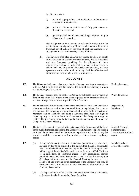the Directors shall:-

- (i) make all appropriations and applications of the amounts resolved to be capitalised;
- (ii) make all allotments and issues of fully paid shares or debentures, if any; and
- (iii) generally shall do all acts and things required to give effect to such resolution,

with full power to the Directors to make such provision for the satisfaction of the right of any Member under such resolution to a fractional part of a share by the issue of fractional certificates, or by payment in cash or otherwise, as they think fit.

(b) The Directors shall also authorise any person to enter, on behalf of all the Members entitled or their nominees, into an agreement with the Company providing for the allotment to them respectively, credited as fully paid up of any further shares to which they may be entitled upon such capitalisation, and any agreement made under such authority shall be effective and binding on all such Members and their nominees.

#### **ACCOUNTS**

| 135. | The Directors shall ensure that proper books of account are kept in accordance<br>with the Act giving a true and fair view of the state of the Company's affairs<br>and explaining its transactions.                                                                                                                                                                                                                                                                                                              | Books of account.                                                                                              |  |
|------|-------------------------------------------------------------------------------------------------------------------------------------------------------------------------------------------------------------------------------------------------------------------------------------------------------------------------------------------------------------------------------------------------------------------------------------------------------------------------------------------------------------------|----------------------------------------------------------------------------------------------------------------|--|
| 136. | The books of account shall be kept at the Office or, subject to the provisions of<br>Section 245 of the Act, at such other place or places as the Directors think fit,<br>and shall always be open to the inspection of the Directors.                                                                                                                                                                                                                                                                            | Where to be kept.                                                                                              |  |
| 137. | The Directors shall from time to time determine whether and to what extent and<br>what time and places and under what conditions or regulations, the accounts<br>and books of the Company or any of them, shall be open to the inspection of<br>Members, and no Member (not being a Director) shall have any right of<br>inspecting any account or book or document of the Company except as<br>conferred by the Statutes or authorised by the Directors or by a resolution of the<br>Company in General Meeting. | Inspection by<br>Members.<br><b>Audited Financial</b><br>Statements and<br>Directors' and Auditor's<br>report. |  |
| 138. | The interval between the close of a financial year of the Company and the issue<br>of the audited financial statements, the Directors' and Auditors' Reports relating<br>to it shall be as determined by the Statutes, regulations and rules as may be<br>amended, modified or varied from time to time, and other relevant regulatory<br>bodies.                                                                                                                                                                 |                                                                                                                |  |
| 139. | (1)<br>A copy of the audited financial statements (including every document<br>required by law to be annexed to the said audited financial statements)<br>which is to be laid before the Company in the General Meeting, together<br>with a copy of the Auditor's Report in printed form or in CD-ROM form<br>or in such form of electronic media or any combination thereof                                                                                                                                      | Members to have<br>copies of accounts.                                                                         |  |

(2) The requisite copies of each of the documents as referred to above shall at the same time be forwarded to Bursa Securities.

Company is not aware.

permitted under the Listing Requirements, shall not less than twenty-one (21) days before the date of the General Meeting be sent to every Member of and every holder of debentures of the Company. No copy of those documents is to be sent to any Member of whose address the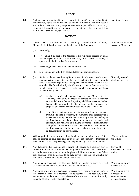#### **AUDIT**

140. Auditors shall be appointed in accordance with Section 271 of the Act and their remuneration, rights and duties shall be regulated in accordance with Section 266 of the Act and the Listing Requirements, where applicable. No person may be appointed as auditor of the company if he cannot consent to be appointed as auditor under Section 264(1) of the Act.

#### **NOTICE**

- 141. A notice shall be in writing and such notice may be served or delivered to any Member in the following manner at the election of the Company:-
	- (1) personally;
	- (2) by sending it by post to the Member to his registered address or (if he has no registered address within Malaysia) to the address in Malaysia appearing in the Record of Depositors; or
	- (3) by sending it using electronic communications; or
	- (4) in a combination of both by post and electronic communications.
- 142. (1) Subject to the Act and Listing Requirements in relation to the electronic communication, any notice or document (including the annual report) which is required or permitted to be given, sent or served under the Act or under this Constitution by the Company, or by its Directors, to the Member may be given, sent or served using electronic communications in the following manner:-
	- (a) to the electronic address provided by that Member to the Company. For clarity, the electronic contact details of a Member as provided to the Central Depository shall be deemed as the last known address provided by the Member to the Company for purposes of electronic communication with the Member; or
	- (b) by making it available on a website prescribed by the Company from time to time. For clarity, the Company shall separately and immediately notify the Member in writing (either by sending to the Member personally or through the post to his registered address, within Malaysia or using the electronic communications) such publication of notice or document on the website and state the designated website link or address where a copy of the notice or document may be downloaded.
- 143. Without prejudice to the last preceding Article, a notice exhibited at the Office shall be deemed to have been duly given to any such Member or Members as are mentioned in the last preceding Article upon the day it was first exhibited.
- 144. Any document other than a notice requiring to be served on a Member, may be served in like manner as a notice may be given to him under this Constitution, and in the case where notice might be given exhibiting the same at the Office such document shall be deemed to be duly served if the same is available for him at the Office and the notice exhibited so states.
- 145. Any notice or document if sent by post shall be deemed to be given or served on the day on which the notice or document is put into the post.
- 146. Any notice or document if given, sent or served by electronic communication to the electronic address of a Member shall be deemed to have been duly given, sent or served at the time of transmission of the electronic communication by the email server of facility operated by:-

Audit provisions.

How notices are to be served on Members.

Notice by way of electronic means.

Notice exhibited at the Office.

Service of documents other than notice.

When notice by post deemed served.

When notice given by electronic communication deemed served.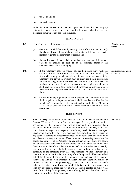- (a) the Company; or
- (b) its service provider,

to the electronic address of such Member, provided always that the Company obtains the reply message or other applicable proof indicating that the electronic communication has been delivered.

#### **WINDING UP**

- 147. If the Company shall be wound up:-
	- (a) due provision shall be made by setting aside sufficient assets to satisfy the claims of any holders of shares having attached thereto any special rights in regard to the repayment of capital; and
	- (b) the surplus assets (if any) shall be applied in repayment of the capital paid up or credited as paid up on the ordinary shares at the commencement of the winding-up.
- 148. (1) If the Company shall be wound up, the liquidators may, with the sanction of a Special Resolution and any other sanction required by the Act, divide among the Members in specie any part of the assets of the Company, and any such division may be otherwise than in accordance with the existing rights of the Members, but so that, if any division is resolved on otherwise than in accordance with such rights, the Members shall have the same right of dissent and consequential rights as if such resolution was a Special Resolution passed pursuant to Section 457 of the Act.
	- (2) On the voluntary liquidation of the Company, no commission or fee shall be paid to a liquidator unless it shall have been ratified by the Members. The amount of such payment shall be notified to all Members at least seven (7) days prior to the General Meeting at which it is to be considered.

### **INDEMNITY**

149. Save and except so far as the provision of this Constitution shall be avoided by Section 288 of the Act, every Director, manager, Secretary and other officer and servant of the Company and each of them and their respective heirs executors and administrators shall be indemnified by the Company against all costs losses damages and expenses which any such Director, manager, Secretary or other officer or servant may incur or become liable to, by reason of any covenant contract or agreement entered into or act or deed done by him as such Director, manager or other officer or servant in carrying into effect the objects and purposes of the Company or any of them, or in or about any action suit or proceeding connected with the affairs thereof or otherwise in or about the execution of his office unless the same shall be incurred or occasioned by his own willful act or default. In particular and without prejudice to the generality of the foregoing every Director, Manager, Auditor, Secretary and other officer or servant for the time being of the Company shall be indemnified out of the funds and assets of the Company from and against all liability incurred by him as such Director, manager, Auditor, Secretary, officer or servant in defending any proceedings, whether civil or criminal in which judgement is given in his favour or in which he is acquitted or in connection with any application under the Act in which relief is granted to him by the Court from liability for negligence, breach of duty, default or breach of trust in relation to the affairs of the Company.

Distribution of assets.

Distribution of assets in specie.

Indemnity.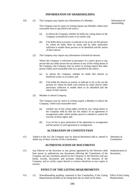#### **INFORMATION OF SHAREHOLDING**

150. (1) The Company may require any information of a Member.

Information of shareholding.

The Company may by notice in writing require any Member within such reasonable time as specified in the notice:-

- (a) to inform the Company whether he holds any voting shares in the Company as beneficial owner or as trustee; and
- (b) if he holds them as trustee, to indicate so far as he can the persons for whom he holds them by name and by other particulars sufficient to enable those persons to be identified and the nature of their interest.
- (2) The Company may require any information of beneficial interest.

Where the Company is informed in pursuance of a notice given to any person that any other person has an interest in any of the voting shares in the Company, the Company may by notice in writing require that other person within such reasonable time as is specified in the notice:-

- (a) to inform the Company whether he holds that interest as beneficial owner or as trustee; and
- (b) if he holds the interest as trustee, to indicate so far as he can the persons for whom he holds such interest by name and by other particulars sufficient to enable them to be identified and the nature of their interest.
- (3) Member to inform Company.

The Company may by notice in writing require a Member to inform the Company, within such reasonable time:-

- (a) whether any of the voting rights carried by any voting shares in the Company held by him are the subject of an agreement or arrangement under which another person is entitled to control his exercise of those rights; and
- (b) if so, he has to give particulars of the agreement or arrangement and the parties to such agreement or arrangement.

### **ALTERATION OF CONSTITUTION**

151. Subject to the Act, the Company may by Special Resolution add to, amend or Alteration of delete any of these Articles of this Constitution.

Constitution.

#### **AUTHENTICATION OF DOCUMENTS**

152. Any Director or the Secretary or any person appointed by the Directors shall have power to authenticate any documents affecting the Constitution of the Company and any resolution passed by the Company or the Directors and any books, records, documents and accounts relating to the business of the Company, and to certify copies thereof or extracts therefrom as true copies or extracts. Authentication of documents.

## **EFFECT OF THE LISTING REQUIREMENTS**

153. (1) Notwithstanding anything contained in this Constitution, if the Listing Requirements prohibit an act being done the act shall not be done;

Effect of the Listing Requirements.